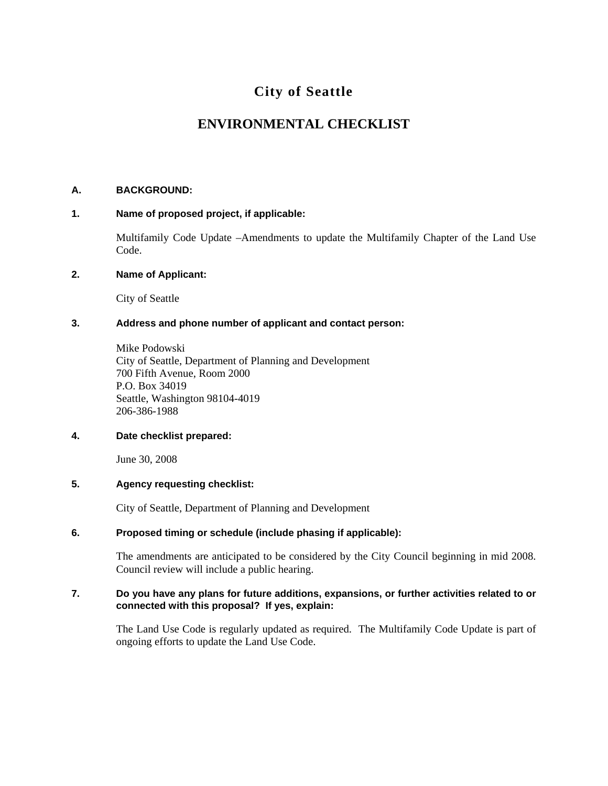# **City of Seattle**

# **ENVIRONMENTAL CHECKLIST**

# **A. BACKGROUND:**

# **1. Name of proposed project, if applicable:**

Multifamily Code Update –Amendments to update the Multifamily Chapter of the Land Use Code.

## **2. Name of Applicant:**

City of Seattle

# **3. Address and phone number of applicant and contact person:**

Mike Podowski City of Seattle, Department of Planning and Development 700 Fifth Avenue, Room 2000 P.O. Box 34019 Seattle, Washington 98104-4019 206-386-1988

#### **4. Date checklist prepared:**

June 30, 2008

#### **5. Agency requesting checklist:**

City of Seattle, Department of Planning and Development

# **6. Proposed timing or schedule (include phasing if applicable):**

The amendments are anticipated to be considered by the City Council beginning in mid 2008. Council review will include a public hearing.

## **7. Do you have any plans for future additions, expansions, or further activities related to or connected with this proposal? If yes, explain:**

The Land Use Code is regularly updated as required. The Multifamily Code Update is part of ongoing efforts to update the Land Use Code.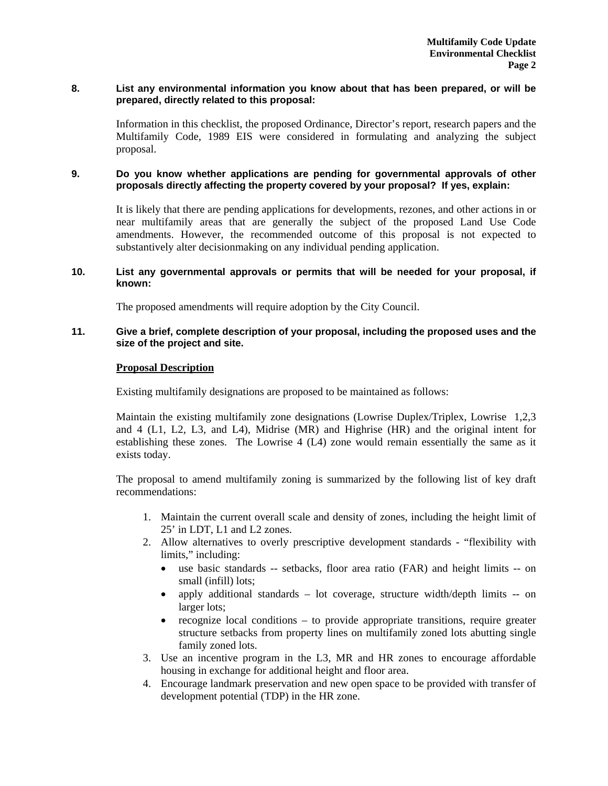## **8. List any environmental information you know about that has been prepared, or will be prepared, directly related to this proposal:**

Information in this checklist, the proposed Ordinance, Director's report, research papers and the Multifamily Code, 1989 EIS were considered in formulating and analyzing the subject proposal.

# **9. Do you know whether applications are pending for governmental approvals of other proposals directly affecting the property covered by your proposal? If yes, explain:**

It is likely that there are pending applications for developments, rezones, and other actions in or near multifamily areas that are generally the subject of the proposed Land Use Code amendments. However, the recommended outcome of this proposal is not expected to substantively alter decisionmaking on any individual pending application.

## **10. List any governmental approvals or permits that will be needed for your proposal, if known:**

The proposed amendments will require adoption by the City Council.

## **11. Give a brief, complete description of your proposal, including the proposed uses and the size of the project and site.**

## **Proposal Description**

Existing multifamily designations are proposed to be maintained as follows:

Maintain the existing multifamily zone designations (Lowrise Duplex/Triplex, Lowrise 1,2,3 and 4 (L1, L2, L3, and L4), Midrise (MR) and Highrise (HR) and the original intent for establishing these zones. The Lowrise 4 (L4) zone would remain essentially the same as it exists today.

The proposal to amend multifamily zoning is summarized by the following list of key draft recommendations:

- 1. Maintain the current overall scale and density of zones, including the height limit of 25' in LDT, L1 and L2 zones.
- 2. Allow alternatives to overly prescriptive development standards "flexibility with limits," including:
	- use basic standards -- setbacks, floor area ratio (FAR) and height limits -- on small (infill) lots;
	- apply additional standards lot coverage, structure width/depth limits -- on larger lots;
	- recognize local conditions to provide appropriate transitions, require greater structure setbacks from property lines on multifamily zoned lots abutting single family zoned lots.
- 3. Use an incentive program in the L3, MR and HR zones to encourage affordable housing in exchange for additional height and floor area.
- 4. Encourage landmark preservation and new open space to be provided with transfer of development potential (TDP) in the HR zone.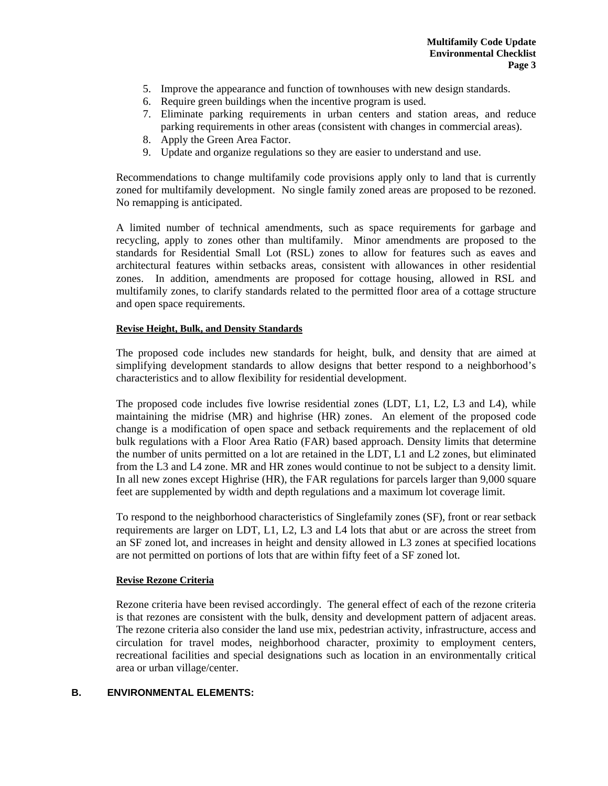- 5. Improve the appearance and function of townhouses with new design standards.
- 6. Require green buildings when the incentive program is used.
- 7. Eliminate parking requirements in urban centers and station areas, and reduce parking requirements in other areas (consistent with changes in commercial areas).
- 8. Apply the Green Area Factor.
- 9. Update and organize regulations so they are easier to understand and use.

Recommendations to change multifamily code provisions apply only to land that is currently zoned for multifamily development. No single family zoned areas are proposed to be rezoned. No remapping is anticipated.

A limited number of technical amendments, such as space requirements for garbage and recycling, apply to zones other than multifamily. Minor amendments are proposed to the standards for Residential Small Lot (RSL) zones to allow for features such as eaves and architectural features within setbacks areas, consistent with allowances in other residential zones. In addition, amendments are proposed for cottage housing, allowed in RSL and multifamily zones, to clarify standards related to the permitted floor area of a cottage structure and open space requirements.

#### **Revise Height, Bulk, and Density Standards**

The proposed code includes new standards for height, bulk, and density that are aimed at simplifying development standards to allow designs that better respond to a neighborhood's characteristics and to allow flexibility for residential development.

The proposed code includes five lowrise residential zones (LDT, L1, L2, L3 and L4), while maintaining the midrise (MR) and highrise (HR) zones. An element of the proposed code change is a modification of open space and setback requirements and the replacement of old bulk regulations with a Floor Area Ratio (FAR) based approach. Density limits that determine the number of units permitted on a lot are retained in the LDT, L1 and L2 zones, but eliminated from the L3 and L4 zone. MR and HR zones would continue to not be subject to a density limit. In all new zones except Highrise (HR), the FAR regulations for parcels larger than 9,000 square feet are supplemented by width and depth regulations and a maximum lot coverage limit.

To respond to the neighborhood characteristics of Singlefamily zones (SF), front or rear setback requirements are larger on LDT, L1, L2, L3 and L4 lots that abut or are across the street from an SF zoned lot, and increases in height and density allowed in L3 zones at specified locations are not permitted on portions of lots that are within fifty feet of a SF zoned lot.

#### **Revise Rezone Criteria**

Rezone criteria have been revised accordingly. The general effect of each of the rezone criteria is that rezones are consistent with the bulk, density and development pattern of adjacent areas. The rezone criteria also consider the land use mix, pedestrian activity, infrastructure, access and circulation for travel modes, neighborhood character, proximity to employment centers, recreational facilities and special designations such as location in an environmentally critical area or urban village/center.

#### **B. ENVIRONMENTAL ELEMENTS:**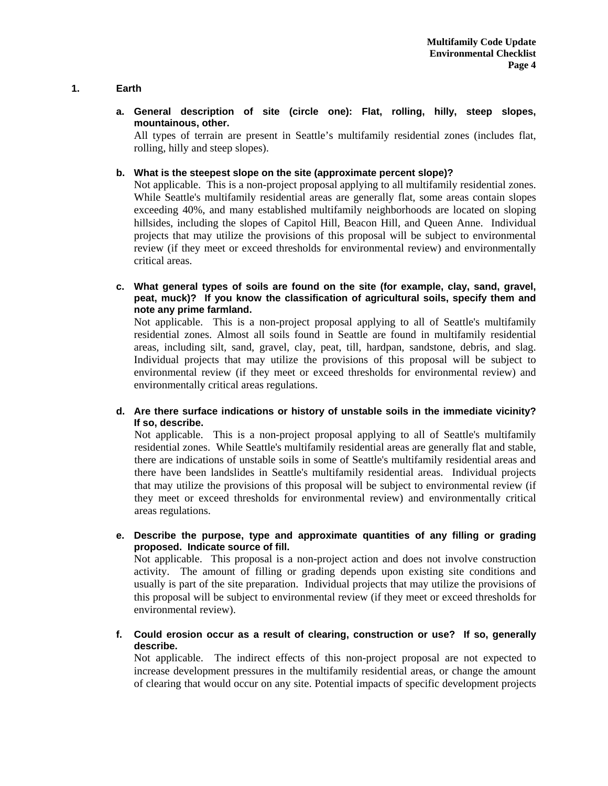# **1. Earth**

**a. General description of site (circle one): Flat, rolling, hilly, steep slopes, mountainous, other.** 

All types of terrain are present in Seattle's multifamily residential zones (includes flat, rolling, hilly and steep slopes).

**b. What is the steepest slope on the site (approximate percent slope)?** 

Not applicable. This is a non-project proposal applying to all multifamily residential zones. While Seattle's multifamily residential areas are generally flat, some areas contain slopes exceeding 40%, and many established multifamily neighborhoods are located on sloping hillsides, including the slopes of Capitol Hill, Beacon Hill, and Queen Anne. Individual projects that may utilize the provisions of this proposal will be subject to environmental review (if they meet or exceed thresholds for environmental review) and environmentally critical areas.

**c. What general types of soils are found on the site (for example, clay, sand, gravel, peat, muck)? If you know the classification of agricultural soils, specify them and note any prime farmland.** 

Not applicable. This is a non-project proposal applying to all of Seattle's multifamily residential zones. Almost all soils found in Seattle are found in multifamily residential areas, including silt, sand, gravel, clay, peat, till, hardpan, sandstone, debris, and slag. Individual projects that may utilize the provisions of this proposal will be subject to environmental review (if they meet or exceed thresholds for environmental review) and environmentally critical areas regulations.

**d. Are there surface indications or history of unstable soils in the immediate vicinity? If so, describe.** 

Not applicable. This is a non-project proposal applying to all of Seattle's multifamily residential zones. While Seattle's multifamily residential areas are generally flat and stable, there are indications of unstable soils in some of Seattle's multifamily residential areas and there have been landslides in Seattle's multifamily residential areas. Individual projects that may utilize the provisions of this proposal will be subject to environmental review (if they meet or exceed thresholds for environmental review) and environmentally critical areas regulations.

**e. Describe the purpose, type and approximate quantities of any filling or grading proposed. Indicate source of fill.** 

Not applicable. This proposal is a non-project action and does not involve construction activity. The amount of filling or grading depends upon existing site conditions and usually is part of the site preparation. Individual projects that may utilize the provisions of this proposal will be subject to environmental review (if they meet or exceed thresholds for environmental review).

**f. Could erosion occur as a result of clearing, construction or use? If so, generally describe.** 

Not applicable. The indirect effects of this non-project proposal are not expected to increase development pressures in the multifamily residential areas, or change the amount of clearing that would occur on any site. Potential impacts of specific development projects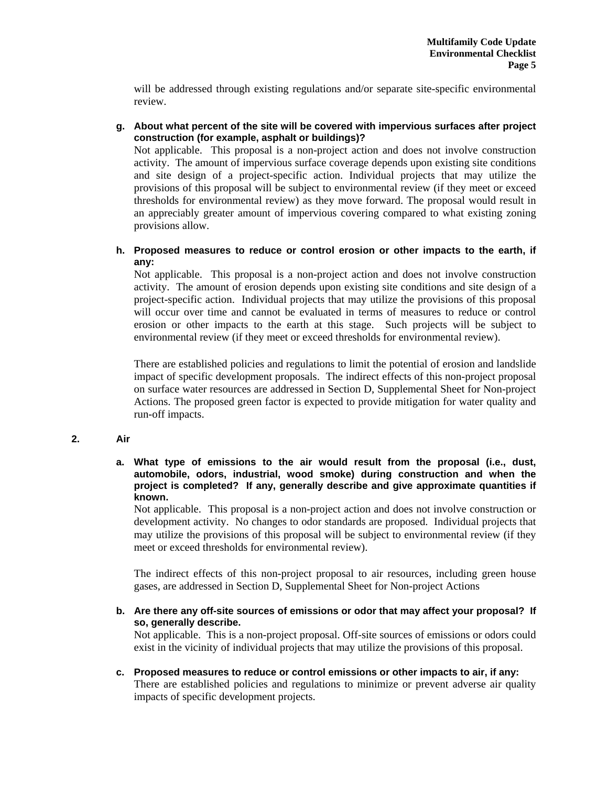will be addressed through existing regulations and/or separate site-specific environmental review.

**g. About what percent of the site will be covered with impervious surfaces after project construction (for example, asphalt or buildings)?** 

Not applicable. This proposal is a non-project action and does not involve construction activity. The amount of impervious surface coverage depends upon existing site conditions and site design of a project-specific action. Individual projects that may utilize the provisions of this proposal will be subject to environmental review (if they meet or exceed thresholds for environmental review) as they move forward. The proposal would result in an appreciably greater amount of impervious covering compared to what existing zoning provisions allow.

**h. Proposed measures to reduce or control erosion or other impacts to the earth, if any:** 

Not applicable. This proposal is a non-project action and does not involve construction activity. The amount of erosion depends upon existing site conditions and site design of a project-specific action. Individual projects that may utilize the provisions of this proposal will occur over time and cannot be evaluated in terms of measures to reduce or control erosion or other impacts to the earth at this stage. Such projects will be subject to environmental review (if they meet or exceed thresholds for environmental review).

There are established policies and regulations to limit the potential of erosion and landslide impact of specific development proposals. The indirect effects of this non-project proposal on surface water resources are addressed in Section D, Supplemental Sheet for Non-project Actions. The proposed green factor is expected to provide mitigation for water quality and run-off impacts.

# **2. Air**

**a. What type of emissions to the air would result from the proposal (i.e., dust, automobile, odors, industrial, wood smoke) during construction and when the project is completed? If any, generally describe and give approximate quantities if known.** 

Not applicable. This proposal is a non-project action and does not involve construction or development activity. No changes to odor standards are proposed. Individual projects that may utilize the provisions of this proposal will be subject to environmental review (if they meet or exceed thresholds for environmental review).

The indirect effects of this non-project proposal to air resources, including green house gases, are addressed in Section D, Supplemental Sheet for Non-project Actions

**b. Are there any off-site sources of emissions or odor that may affect your proposal? If so, generally describe.** 

Not applicable. This is a non-project proposal. Off-site sources of emissions or odors could exist in the vicinity of individual projects that may utilize the provisions of this proposal.

**c. Proposed measures to reduce or control emissions or other impacts to air, if any:**  There are established policies and regulations to minimize or prevent adverse air quality impacts of specific development projects.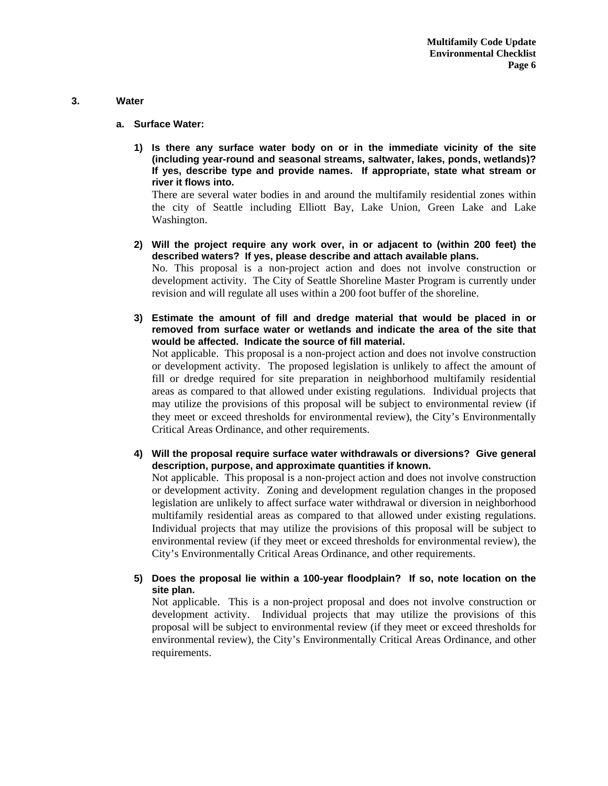#### **3. Water**

- **a. Surface Water:** 
	- **1) Is there any surface water body on or in the immediate vicinity of the site (including year-round and seasonal streams, saltwater, lakes, ponds, wetlands)? If yes, describe type and provide names. If appropriate, state what stream or river it flows into.**

There are several water bodies in and around the multifamily residential zones within the city of Seattle including Elliott Bay, Lake Union, Green Lake and Lake Washington.

- **2) Will the project require any work over, in or adjacent to (within 200 feet) the described waters? If yes, please describe and attach available plans.**  No. This proposal is a non-project action and does not involve construction or development activity. The City of Seattle Shoreline Master Program is currently under revision and will regulate all uses within a 200 foot buffer of the shoreline.
- **3) Estimate the amount of fill and dredge material that would be placed in or removed from surface water or wetlands and indicate the area of the site that would be affected. Indicate the source of fill material.**  Not applicable. This proposal is a non-project action and does not involve construction or development activity. The proposed legislation is unlikely to affect the amount of fill or dredge required for site preparation in neighborhood multifamily residential areas as compared to that allowed under existing regulations. Individual projects that may utilize the provisions of this proposal will be subject to environmental review (if they meet or exceed thresholds for environmental review), the City's Environmentally Critical Areas Ordinance, and other requirements.
- **4) Will the proposal require surface water withdrawals or diversions? Give general description, purpose, and approximate quantities if known.**

Not applicable. This proposal is a non-project action and does not involve construction or development activity. Zoning and development regulation changes in the proposed legislation are unlikely to affect surface water withdrawal or diversion in neighborhood multifamily residential areas as compared to that allowed under existing regulations. Individual projects that may utilize the provisions of this proposal will be subject to environmental review (if they meet or exceed thresholds for environmental review), the City's Environmentally Critical Areas Ordinance, and other requirements.

**5) Does the proposal lie within a 100-year floodplain? If so, note location on the site plan.** 

Not applicable. This is a non-project proposal and does not involve construction or development activity. Individual projects that may utilize the provisions of this proposal will be subject to environmental review (if they meet or exceed thresholds for environmental review), the City's Environmentally Critical Areas Ordinance, and other requirements.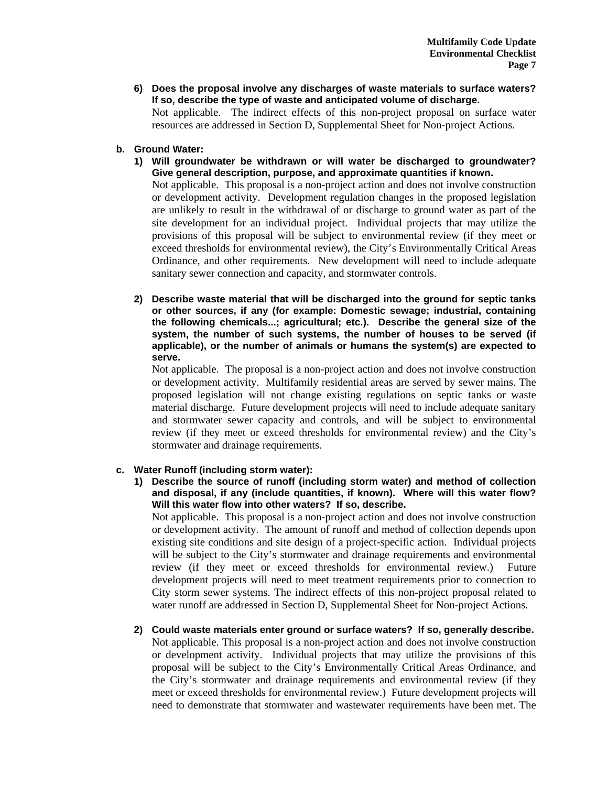**6) Does the proposal involve any discharges of waste materials to surface waters? If so, describe the type of waste and anticipated volume of discharge.** 

Not applicable. The indirect effects of this non-project proposal on surface water resources are addressed in Section D, Supplemental Sheet for Non-project Actions.

- **b. Ground Water:** 
	- **1) Will groundwater be withdrawn or will water be discharged to groundwater? Give general description, purpose, and approximate quantities if known.**

Not applicable. This proposal is a non-project action and does not involve construction or development activity. Development regulation changes in the proposed legislation are unlikely to result in the withdrawal of or discharge to ground water as part of the site development for an individual project.Individual projects that may utilize the provisions of this proposal will be subject to environmental review (if they meet or exceed thresholds for environmental review), the City's Environmentally Critical Areas Ordinance, and other requirements. New development will need to include adequate sanitary sewer connection and capacity, and stormwater controls.

**2) Describe waste material that will be discharged into the ground for septic tanks or other sources, if any (for example: Domestic sewage; industrial, containing the following chemicals...; agricultural; etc.). Describe the general size of the system, the number of such systems, the number of houses to be served (if applicable), or the number of animals or humans the system(s) are expected to serve.** 

Not applicable. The proposal is a non-project action and does not involve construction or development activity. Multifamily residential areas are served by sewer mains. The proposed legislation will not change existing regulations on septic tanks or waste material discharge. Future development projects will need to include adequate sanitary and stormwater sewer capacity and controls, and will be subject to environmental review (if they meet or exceed thresholds for environmental review) and the City's stormwater and drainage requirements.

# **c. Water Runoff (including storm water):**

**1) Describe the source of runoff (including storm water) and method of collection and disposal, if any (include quantities, if known). Where will this water flow? Will this water flow into other waters? If so, describe.** 

Not applicable. This proposal is a non-project action and does not involve construction or development activity. The amount of runoff and method of collection depends upon existing site conditions and site design of a project-specific action. Individual projects will be subject to the City's stormwater and drainage requirements and environmental review (if they meet or exceed thresholds for environmental review.) Future development projects will need to meet treatment requirements prior to connection to City storm sewer systems. The indirect effects of this non-project proposal related to water runoff are addressed in Section D, Supplemental Sheet for Non-project Actions.

**2) Could waste materials enter ground or surface waters? If so, generally describe.**  Not applicable. This proposal is a non-project action and does not involve construction or development activity. Individual projects that may utilize the provisions of this proposal will be subject to the City's Environmentally Critical Areas Ordinance, and the City's stormwater and drainage requirements and environmental review (if they meet or exceed thresholds for environmental review.) Future development projects will need to demonstrate that stormwater and wastewater requirements have been met. The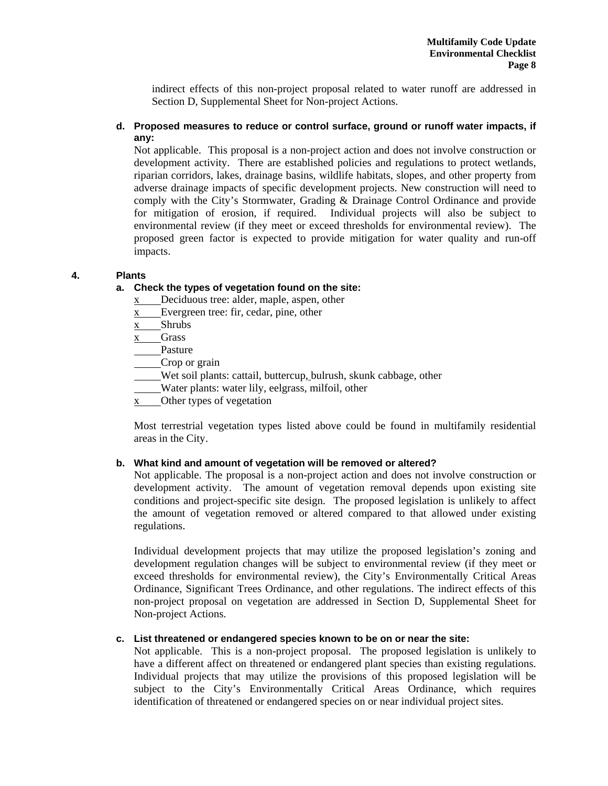indirect effects of this non-project proposal related to water runoff are addressed in Section D, Supplemental Sheet for Non-project Actions.

# **d. Proposed measures to reduce or control surface, ground or runoff water impacts, if any:**

Not applicable. This proposal is a non-project action and does not involve construction or development activity. There are established policies and regulations to protect wetlands, riparian corridors, lakes, drainage basins, wildlife habitats, slopes, and other property from adverse drainage impacts of specific development projects. New construction will need to comply with the City's Stormwater, Grading & Drainage Control Ordinance and provide for mitigation of erosion, if required. Individual projects will also be subject to environmental review (if they meet or exceed thresholds for environmental review). The proposed green factor is expected to provide mitigation for water quality and run-off impacts.

# **4. Plants**

## **a. Check the types of vegetation found on the site:**

- x Deciduous tree: alder, maple, aspen, other
- x Evergreen tree: fir, cedar, pine, other
- x Shrubs
- $x$  Grass

Pasture

Crop or grain

Wet soil plants: cattail, buttercup, bulrush, skunk cabbage, other

Water plants: water lily, eelgrass, milfoil, other

x Other types of vegetation

Most terrestrial vegetation types listed above could be found in multifamily residential areas in the City.

### **b. What kind and amount of vegetation will be removed or altered?**

Not applicable. The proposal is a non-project action and does not involve construction or development activity. The amount of vegetation removal depends upon existing site conditions and project-specific site design. The proposed legislation is unlikely to affect the amount of vegetation removed or altered compared to that allowed under existing regulations.

Individual development projects that may utilize the proposed legislation's zoning and development regulation changes will be subject to environmental review (if they meet or exceed thresholds for environmental review), the City's Environmentally Critical Areas Ordinance, Significant Trees Ordinance, and other regulations. The indirect effects of this non-project proposal on vegetation are addressed in Section D, Supplemental Sheet for Non-project Actions.

# **c. List threatened or endangered species known to be on or near the site:**

Not applicable. This is a non-project proposal. The proposed legislation is unlikely to have a different affect on threatened or endangered plant species than existing regulations. Individual projects that may utilize the provisions of this proposed legislation will be subject to the City's Environmentally Critical Areas Ordinance, which requires identification of threatened or endangered species on or near individual project sites.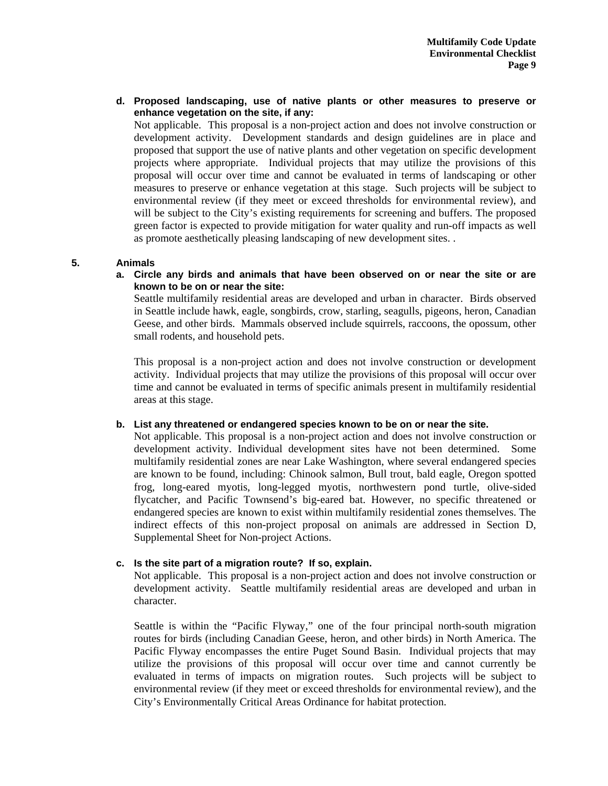**d. Proposed landscaping, use of native plants or other measures to preserve or enhance vegetation on the site, if any:** 

Not applicable. This proposal is a non-project action and does not involve construction or development activity. Development standards and design guidelines are in place and proposed that support the use of native plants and other vegetation on specific development projects where appropriate. Individual projects that may utilize the provisions of this proposal will occur over time and cannot be evaluated in terms of landscaping or other measures to preserve or enhance vegetation at this stage. Such projects will be subject to environmental review (if they meet or exceed thresholds for environmental review), and will be subject to the City's existing requirements for screening and buffers. The proposed green factor is expected to provide mitigation for water quality and run-off impacts as well as promote aesthetically pleasing landscaping of new development sites. .

## **5. Animals**

**a. Circle any birds and animals that have been observed on or near the site or are known to be on or near the site:** 

Seattle multifamily residential areas are developed and urban in character. Birds observed in Seattle include hawk, eagle, songbirds, crow, starling, seagulls, pigeons, heron, Canadian Geese, and other birds. Mammals observed include squirrels, raccoons, the opossum, other small rodents, and household pets.

This proposal is a non-project action and does not involve construction or development activity. Individual projects that may utilize the provisions of this proposal will occur over time and cannot be evaluated in terms of specific animals present in multifamily residential areas at this stage.

#### **b. List any threatened or endangered species known to be on or near the site.**

Not applicable. This proposal is a non-project action and does not involve construction or development activity. Individual development sites have not been determined. Some multifamily residential zones are near Lake Washington, where several endangered species are known to be found, including: Chinook salmon, Bull trout, bald eagle, Oregon spotted frog, long-eared myotis, long-legged myotis, northwestern pond turtle, olive-sided flycatcher, and Pacific Townsend's big-eared bat. However, no specific threatened or endangered species are known to exist within multifamily residential zones themselves. The indirect effects of this non-project proposal on animals are addressed in Section D, Supplemental Sheet for Non-project Actions.

# **c. Is the site part of a migration route? If so, explain.**

Not applicable. This proposal is a non-project action and does not involve construction or development activity. Seattle multifamily residential areas are developed and urban in character.

Seattle is within the "Pacific Flyway," one of the four principal north-south migration routes for birds (including Canadian Geese, heron, and other birds) in North America. The Pacific Flyway encompasses the entire Puget Sound Basin. Individual projects that may utilize the provisions of this proposal will occur over time and cannot currently be evaluated in terms of impacts on migration routes. Such projects will be subject to environmental review (if they meet or exceed thresholds for environmental review), and the City's Environmentally Critical Areas Ordinance for habitat protection.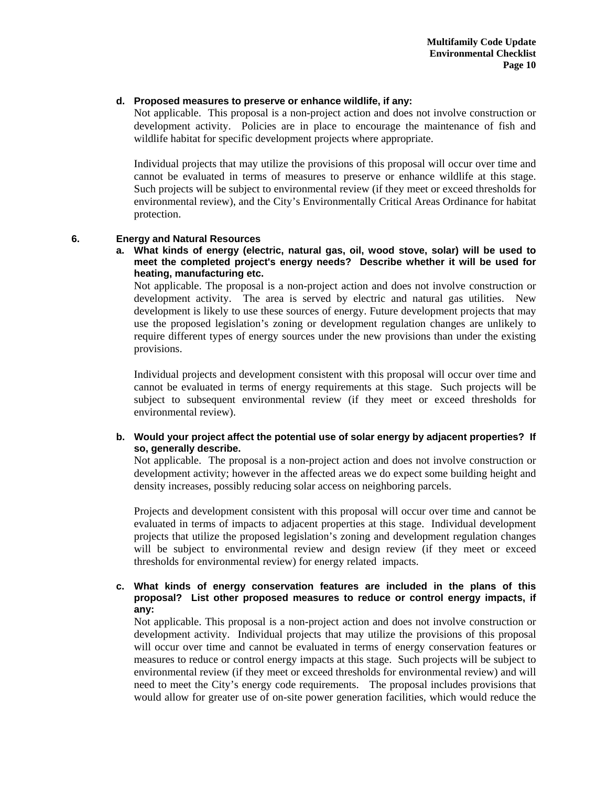# **d. Proposed measures to preserve or enhance wildlife, if any:**

Not applicable. This proposal is a non-project action and does not involve construction or development activity. Policies are in place to encourage the maintenance of fish and wildlife habitat for specific development projects where appropriate.

Individual projects that may utilize the provisions of this proposal will occur over time and cannot be evaluated in terms of measures to preserve or enhance wildlife at this stage. Such projects will be subject to environmental review (if they meet or exceed thresholds for environmental review), and the City's Environmentally Critical Areas Ordinance for habitat protection.

## **6. Energy and Natural Resources**

**a. What kinds of energy (electric, natural gas, oil, wood stove, solar) will be used to meet the completed project's energy needs? Describe whether it will be used for heating, manufacturing etc.** 

Not applicable. The proposal is a non-project action and does not involve construction or development activity. The area is served by electric and natural gas utilities. New development is likely to use these sources of energy. Future development projects that may use the proposed legislation's zoning or development regulation changes are unlikely to require different types of energy sources under the new provisions than under the existing provisions.

Individual projects and development consistent with this proposal will occur over time and cannot be evaluated in terms of energy requirements at this stage. Such projects will be subject to subsequent environmental review (if they meet or exceed thresholds for environmental review).

# **b. Would your project affect the potential use of solar energy by adjacent properties? If so, generally describe.**

Not applicable. The proposal is a non-project action and does not involve construction or development activity; however in the affected areas we do expect some building height and density increases, possibly reducing solar access on neighboring parcels.

Projects and development consistent with this proposal will occur over time and cannot be evaluated in terms of impacts to adjacent properties at this stage. Individual development projects that utilize the proposed legislation's zoning and development regulation changes will be subject to environmental review and design review (if they meet or exceed thresholds for environmental review) for energy related impacts.

# **c. What kinds of energy conservation features are included in the plans of this proposal? List other proposed measures to reduce or control energy impacts, if any:**

Not applicable. This proposal is a non-project action and does not involve construction or development activity. Individual projects that may utilize the provisions of this proposal will occur over time and cannot be evaluated in terms of energy conservation features or measures to reduce or control energy impacts at this stage. Such projects will be subject to environmental review (if they meet or exceed thresholds for environmental review) and will need to meet the City's energy code requirements. The proposal includes provisions that would allow for greater use of on-site power generation facilities, which would reduce the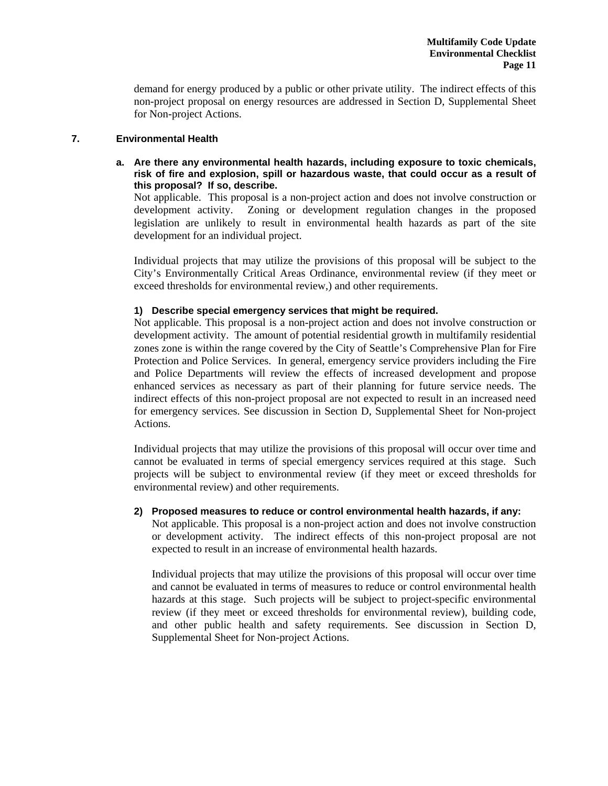demand for energy produced by a public or other private utility. The indirect effects of this non-project proposal on energy resources are addressed in Section D, Supplemental Sheet for Non-project Actions.

# **7. Environmental Health**

# **a. Are there any environmental health hazards, including exposure to toxic chemicals, risk of fire and explosion, spill or hazardous waste, that could occur as a result of this proposal? If so, describe.**

Not applicable. This proposal is a non-project action and does not involve construction or development activity. Zoning or development regulation changes in the proposed legislation are unlikely to result in environmental health hazards as part of the site development for an individual project.

Individual projects that may utilize the provisions of this proposal will be subject to the City's Environmentally Critical Areas Ordinance, environmental review (if they meet or exceed thresholds for environmental review,) and other requirements.

## **1) Describe special emergency services that might be required.**

Not applicable. This proposal is a non-project action and does not involve construction or development activity. The amount of potential residential growth in multifamily residential zones zone is within the range covered by the City of Seattle's Comprehensive Plan for Fire Protection and Police Services. In general, emergency service providers including the Fire and Police Departments will review the effects of increased development and propose enhanced services as necessary as part of their planning for future service needs. The indirect effects of this non-project proposal are not expected to result in an increased need for emergency services. See discussion in Section D, Supplemental Sheet for Non-project Actions.

Individual projects that may utilize the provisions of this proposal will occur over time and cannot be evaluated in terms of special emergency services required at this stage. Such projects will be subject to environmental review (if they meet or exceed thresholds for environmental review) and other requirements.

#### **2) Proposed measures to reduce or control environmental health hazards, if any:**

Not applicable. This proposal is a non-project action and does not involve construction or development activity. The indirect effects of this non-project proposal are not expected to result in an increase of environmental health hazards.

Individual projects that may utilize the provisions of this proposal will occur over time and cannot be evaluated in terms of measures to reduce or control environmental health hazards at this stage. Such projects will be subject to project-specific environmental review (if they meet or exceed thresholds for environmental review), building code, and other public health and safety requirements. See discussion in Section D, Supplemental Sheet for Non-project Actions.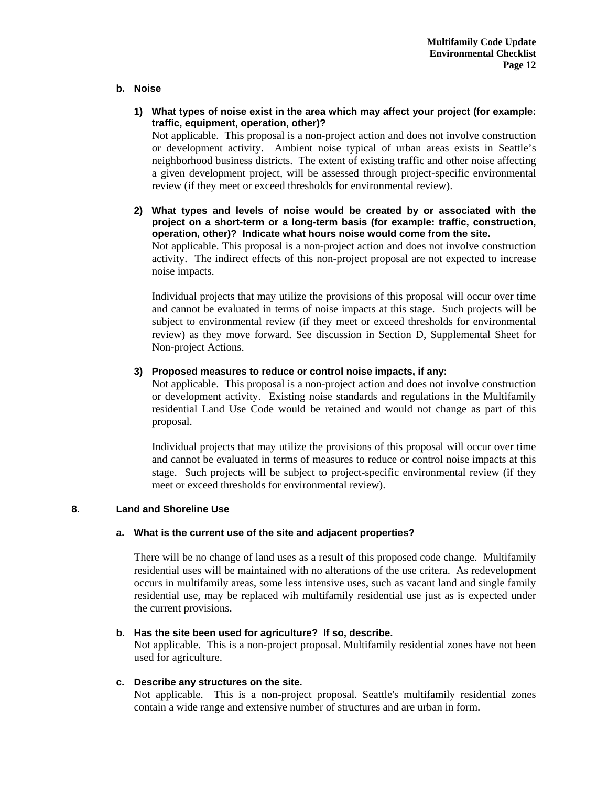## **b. Noise**

- **1) What types of noise exist in the area which may affect your project (for example: traffic, equipment, operation, other)?**  Not applicable. This proposal is a non-project action and does not involve construction or development activity. Ambient noise typical of urban areas exists in Seattle's neighborhood business districts. The extent of existing traffic and other noise affecting a given development project, will be assessed through project-specific environmental review (if they meet or exceed thresholds for environmental review).
- **2) What types and levels of noise would be created by or associated with the project on a short-term or a long-term basis (for example: traffic, construction, operation, other)? Indicate what hours noise would come from the site.**  Not applicable. This proposal is a non-project action and does not involve construction activity. The indirect effects of this non-project proposal are not expected to increase noise impacts.

Individual projects that may utilize the provisions of this proposal will occur over time and cannot be evaluated in terms of noise impacts at this stage. Such projects will be subject to environmental review (if they meet or exceed thresholds for environmental review) as they move forward. See discussion in Section D, Supplemental Sheet for Non-project Actions.

## **3) Proposed measures to reduce or control noise impacts, if any:**

Not applicable. This proposal is a non-project action and does not involve construction or development activity. Existing noise standards and regulations in the Multifamily residential Land Use Code would be retained and would not change as part of this proposal.

Individual projects that may utilize the provisions of this proposal will occur over time and cannot be evaluated in terms of measures to reduce or control noise impacts at this stage. Such projects will be subject to project-specific environmental review (if they meet or exceed thresholds for environmental review).

# **8. Land and Shoreline Use**

# **a. What is the current use of the site and adjacent properties?**

There will be no change of land uses as a result of this proposed code change. Multifamily residential uses will be maintained with no alterations of the use critera. As redevelopment occurs in multifamily areas, some less intensive uses, such as vacant land and single family residential use, may be replaced wih multifamily residential use just as is expected under the current provisions.

# **b. Has the site been used for agriculture? If so, describe.**

Not applicable. This is a non-project proposal. Multifamily residential zones have not been used for agriculture.

# **c. Describe any structures on the site.**

Not applicable. This is a non-project proposal. Seattle's multifamily residential zones contain a wide range and extensive number of structures and are urban in form.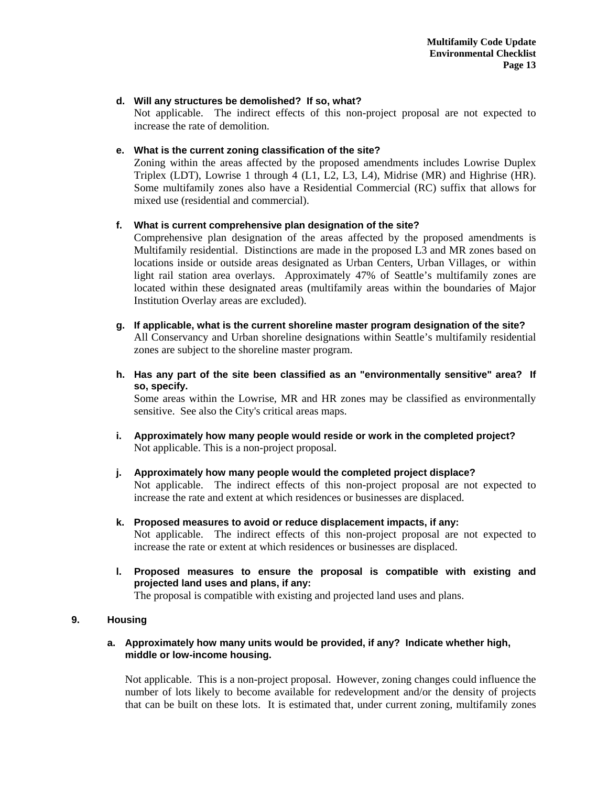## **d. Will any structures be demolished? If so, what?**

Not applicable. The indirect effects of this non-project proposal are not expected to increase the rate of demolition.

# **e. What is the current zoning classification of the site?**

Zoning within the areas affected by the proposed amendments includes Lowrise Duplex Triplex (LDT), Lowrise 1 through 4 (L1, L2, L3, L4), Midrise (MR) and Highrise (HR). Some multifamily zones also have a Residential Commercial (RC) suffix that allows for mixed use (residential and commercial).

# **f. What is current comprehensive plan designation of the site?**

Comprehensive plan designation of the areas affected by the proposed amendments is Multifamily residential. Distinctions are made in the proposed L3 and MR zones based on locations inside or outside areas designated as Urban Centers, Urban Villages, or within light rail station area overlays. Approximately 47% of Seattle's multifamily zones are located within these designated areas (multifamily areas within the boundaries of Major Institution Overlay areas are excluded).

#### **g. If applicable, what is the current shoreline master program designation of the site?**  All Conservancy and Urban shoreline designations within Seattle's multifamily residential zones are subject to the shoreline master program.

**h. Has any part of the site been classified as an "environmentally sensitive" area? If so, specify.** 

Some areas within the Lowrise, MR and HR zones may be classified as environmentally sensitive. See also the City's critical areas maps.

- **i. Approximately how many people would reside or work in the completed project?**  Not applicable. This is a non-project proposal.
- **j. Approximately how many people would the completed project displace?**  Not applicable. The indirect effects of this non-project proposal are not expected to increase the rate and extent at which residences or businesses are displaced.
- **k. Proposed measures to avoid or reduce displacement impacts, if any:**  Not applicable. The indirect effects of this non-project proposal are not expected to increase the rate or extent at which residences or businesses are displaced.
- **l. Proposed measures to ensure the proposal is compatible with existing and projected land uses and plans, if any:**

The proposal is compatible with existing and projected land uses and plans.

# **9. Housing**

#### **a. Approximately how many units would be provided, if any? Indicate whether high, middle or low-income housing.**

Not applicable. This is a non-project proposal. However, zoning changes could influence the number of lots likely to become available for redevelopment and/or the density of projects that can be built on these lots. It is estimated that, under current zoning, multifamily zones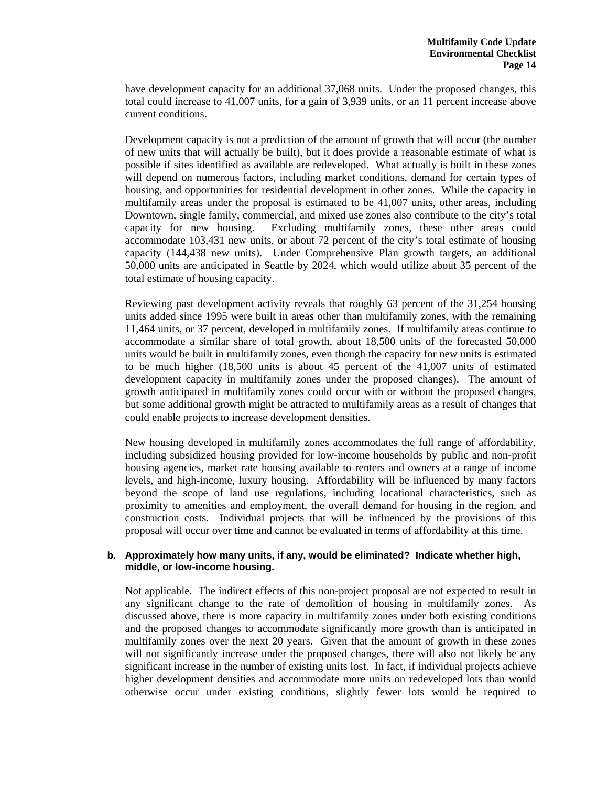have development capacity for an additional 37,068 units. Under the proposed changes, this total could increase to 41,007 units, for a gain of 3,939 units, or an 11 percent increase above current conditions.

Development capacity is not a prediction of the amount of growth that will occur (the number of new units that will actually be built), but it does provide a reasonable estimate of what is possible if sites identified as available are redeveloped. What actually is built in these zones will depend on numerous factors, including market conditions, demand for certain types of housing, and opportunities for residential development in other zones. While the capacity in multifamily areas under the proposal is estimated to be 41,007 units, other areas, including Downtown, single family, commercial, and mixed use zones also contribute to the city's total capacity for new housing. Excluding multifamily zones, these other areas could accommodate 103,431 new units, or about 72 percent of the city's total estimate of housing capacity (144,438 new units). Under Comprehensive Plan growth targets, an additional 50,000 units are anticipated in Seattle by 2024, which would utilize about 35 percent of the total estimate of housing capacity.

Reviewing past development activity reveals that roughly 63 percent of the 31,254 housing units added since 1995 were built in areas other than multifamily zones, with the remaining 11,464 units, or 37 percent, developed in multifamily zones. If multifamily areas continue to accommodate a similar share of total growth, about 18,500 units of the forecasted 50,000 units would be built in multifamily zones, even though the capacity for new units is estimated to be much higher (18,500 units is about 45 percent of the 41,007 units of estimated development capacity in multifamily zones under the proposed changes). The amount of growth anticipated in multifamily zones could occur with or without the proposed changes, but some additional growth might be attracted to multifamily areas as a result of changes that could enable projects to increase development densities.

New housing developed in multifamily zones accommodates the full range of affordability, including subsidized housing provided for low-income households by public and non-profit housing agencies, market rate housing available to renters and owners at a range of income levels, and high-income, luxury housing. Affordability will be influenced by many factors beyond the scope of land use regulations, including locational characteristics, such as proximity to amenities and employment, the overall demand for housing in the region, and construction costs. Individual projects that will be influenced by the provisions of this proposal will occur over time and cannot be evaluated in terms of affordability at this time.

#### **b. Approximately how many units, if any, would be eliminated? Indicate whether high, middle, or low-income housing.**

Not applicable. The indirect effects of this non-project proposal are not expected to result in any significant change to the rate of demolition of housing in multifamily zones. As discussed above, there is more capacity in multifamily zones under both existing conditions and the proposed changes to accommodate significantly more growth than is anticipated in multifamily zones over the next 20 years. Given that the amount of growth in these zones will not significantly increase under the proposed changes, there will also not likely be any significant increase in the number of existing units lost. In fact, if individual projects achieve higher development densities and accommodate more units on redeveloped lots than would otherwise occur under existing conditions, slightly fewer lots would be required to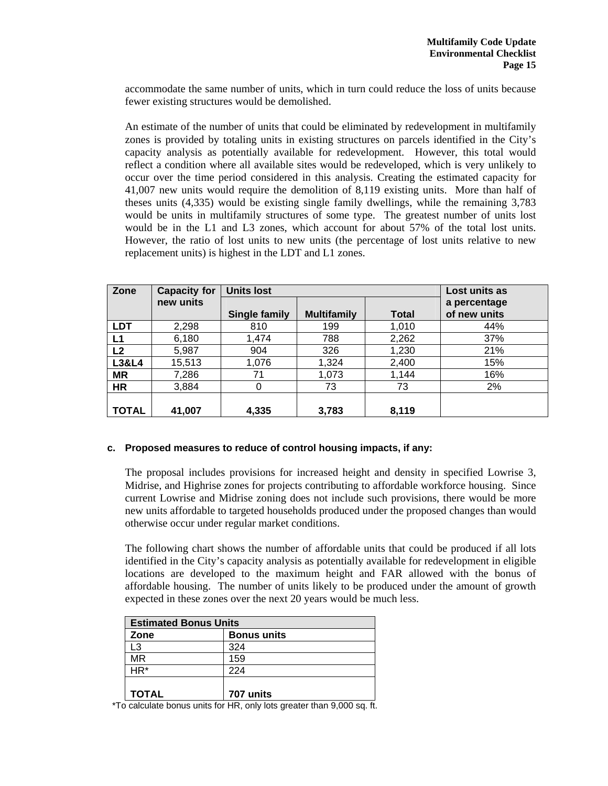accommodate the same number of units, which in turn could reduce the loss of units because fewer existing structures would be demolished.

An estimate of the number of units that could be eliminated by redevelopment in multifamily zones is provided by totaling units in existing structures on parcels identified in the City's capacity analysis as potentially available for redevelopment. However, this total would reflect a condition where all available sites would be redeveloped, which is very unlikely to occur over the time period considered in this analysis. Creating the estimated capacity for 41,007 new units would require the demolition of 8,119 existing units. More than half of theses units (4,335) would be existing single family dwellings, while the remaining 3,783 would be units in multifamily structures of some type. The greatest number of units lost would be in the L1 and L3 zones, which account for about 57% of the total lost units. However, the ratio of lost units to new units (the percentage of lost units relative to new replacement units) is highest in the LDT and L1 zones.

| Zone             | <b>Capacity for</b> | <b>Units lost</b> |                    | Lost units as |              |
|------------------|---------------------|-------------------|--------------------|---------------|--------------|
|                  | new units           |                   |                    |               | a percentage |
|                  |                     | Single family     | <b>Multifamily</b> | <b>Total</b>  | of new units |
| <b>LDT</b>       | 2,298               | 810               | 199                | 1,010         | 44%          |
| L1               | 6,180               | 1,474             | 788                | 2,262         | 37%          |
| L <sub>2</sub>   | 5,987               | 904               | 326                | 1,230         | 21%          |
| <b>L3&amp;L4</b> | 15,513              | 1,076             | 1,324              | 2,400         | 15%          |
| <b>MR</b>        | 7,286               | 71                | 1,073              | 1,144         | 16%          |
| <b>HR</b>        | 3,884               | 0                 | 73                 | 73            | 2%           |
|                  |                     |                   |                    |               |              |
| TOTAL            | 41,007              | 4,335             | 3,783              | 8,119         |              |

# **c. Proposed measures to reduce of control housing impacts, if any:**

The proposal includes provisions for increased height and density in specified Lowrise 3, Midrise, and Highrise zones for projects contributing to affordable workforce housing. Since current Lowrise and Midrise zoning does not include such provisions, there would be more new units affordable to targeted households produced under the proposed changes than would otherwise occur under regular market conditions.

The following chart shows the number of affordable units that could be produced if all lots identified in the City's capacity analysis as potentially available for redevelopment in eligible locations are developed to the maximum height and FAR allowed with the bonus of affordable housing. The number of units likely to be produced under the amount of growth expected in these zones over the next 20 years would be much less.

| <b>Estimated Bonus Units</b> |                    |  |  |
|------------------------------|--------------------|--|--|
| Zone                         | <b>Bonus units</b> |  |  |
| L3                           | 324                |  |  |
| MR                           | 159                |  |  |
| $HR*$                        | 224                |  |  |
| <b>TOTAL</b>                 | 707 units          |  |  |

\*To calculate bonus units for HR, only lots greater than 9,000 sq. ft.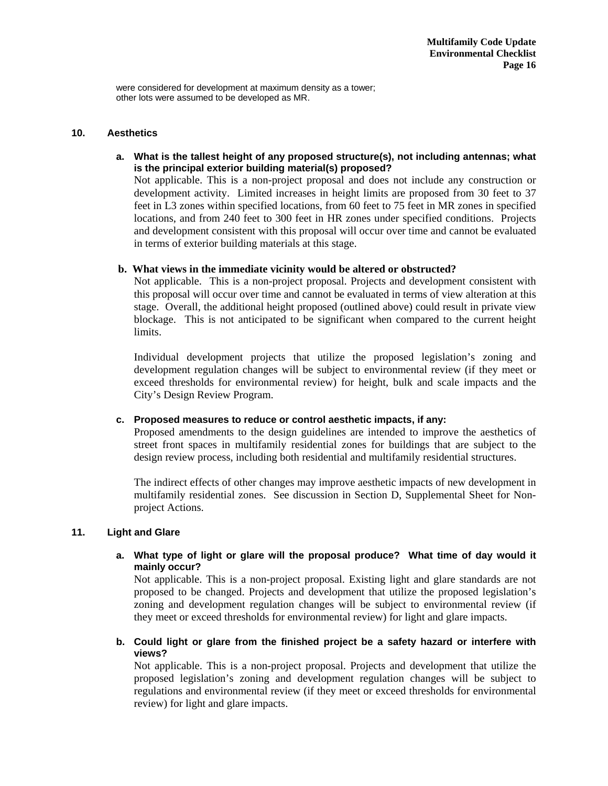were considered for development at maximum density as a tower; other lots were assumed to be developed as MR.

#### **10. Aesthetics**

**a. What is the tallest height of any proposed structure(s), not including antennas; what is the principal exterior building material(s) proposed?** 

Not applicable. This is a non-project proposal and does not include any construction or development activity. Limited increases in height limits are proposed from 30 feet to 37 feet in L3 zones within specified locations, from 60 feet to 75 feet in MR zones in specified locations, and from 240 feet to 300 feet in HR zones under specified conditions. Projects and development consistent with this proposal will occur over time and cannot be evaluated in terms of exterior building materials at this stage.

## **b. What views in the immediate vicinity would be altered or obstructed?**

Not applicable. This is a non-project proposal. Projects and development consistent with this proposal will occur over time and cannot be evaluated in terms of view alteration at this stage. Overall, the additional height proposed (outlined above) could result in private view blockage. This is not anticipated to be significant when compared to the current height limits.

Individual development projects that utilize the proposed legislation's zoning and development regulation changes will be subject to environmental review (if they meet or exceed thresholds for environmental review) for height, bulk and scale impacts and the City's Design Review Program.

## **c. Proposed measures to reduce or control aesthetic impacts, if any:**

Proposed amendments to the design guidelines are intended to improve the aesthetics of street front spaces in multifamily residential zones for buildings that are subject to the design review process, including both residential and multifamily residential structures.

The indirect effects of other changes may improve aesthetic impacts of new development in multifamily residential zones. See discussion in Section D, Supplemental Sheet for Nonproject Actions.

#### **11. Light and Glare**

## **a. What type of light or glare will the proposal produce? What time of day would it mainly occur?**

Not applicable. This is a non-project proposal. Existing light and glare standards are not proposed to be changed. Projects and development that utilize the proposed legislation's zoning and development regulation changes will be subject to environmental review (if they meet or exceed thresholds for environmental review) for light and glare impacts.

**b. Could light or glare from the finished project be a safety hazard or interfere with views?** 

Not applicable. This is a non-project proposal. Projects and development that utilize the proposed legislation's zoning and development regulation changes will be subject to regulations and environmental review (if they meet or exceed thresholds for environmental review) for light and glare impacts.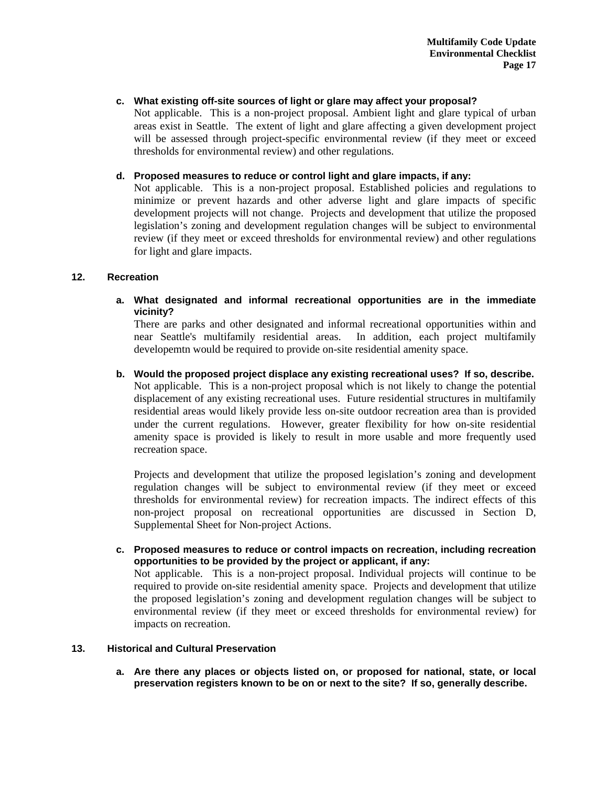# **c. What existing off-site sources of light or glare may affect your proposal?**

Not applicable. This is a non-project proposal. Ambient light and glare typical of urban areas exist in Seattle. The extent of light and glare affecting a given development project will be assessed through project-specific environmental review (if they meet or exceed thresholds for environmental review) and other regulations.

## **d. Proposed measures to reduce or control light and glare impacts, if any:**

Not applicable. This is a non-project proposal. Established policies and regulations to minimize or prevent hazards and other adverse light and glare impacts of specific development projects will not change. Projects and development that utilize the proposed legislation's zoning and development regulation changes will be subject to environmental review (if they meet or exceed thresholds for environmental review) and other regulations for light and glare impacts.

## **12. Recreation**

**a. What designated and informal recreational opportunities are in the immediate vicinity?** 

There are parks and other designated and informal recreational opportunities within and near Seattle's multifamily residential areas. In addition, each project multifamily developemtn would be required to provide on-site residential amenity space.

**b. Would the proposed project displace any existing recreational uses? If so, describe.**  Not applicable. This is a non-project proposal which is not likely to change the potential displacement of any existing recreational uses. Future residential structures in multifamily residential areas would likely provide less on-site outdoor recreation area than is provided under the current regulations. However, greater flexibility for how on-site residential amenity space is provided is likely to result in more usable and more frequently used recreation space.

Projects and development that utilize the proposed legislation's zoning and development regulation changes will be subject to environmental review (if they meet or exceed thresholds for environmental review) for recreation impacts. The indirect effects of this non-project proposal on recreational opportunities are discussed in Section D, Supplemental Sheet for Non-project Actions.

**c. Proposed measures to reduce or control impacts on recreation, including recreation opportunities to be provided by the project or applicant, if any:**  Not applicable. This is a non-project proposal. Individual projects will continue to be

required to provide on-site residential amenity space. Projects and development that utilize the proposed legislation's zoning and development regulation changes will be subject to environmental review (if they meet or exceed thresholds for environmental review) for impacts on recreation.

#### **13. Historical and Cultural Preservation**

**a. Are there any places or objects listed on, or proposed for national, state, or local preservation registers known to be on or next to the site? If so, generally describe.**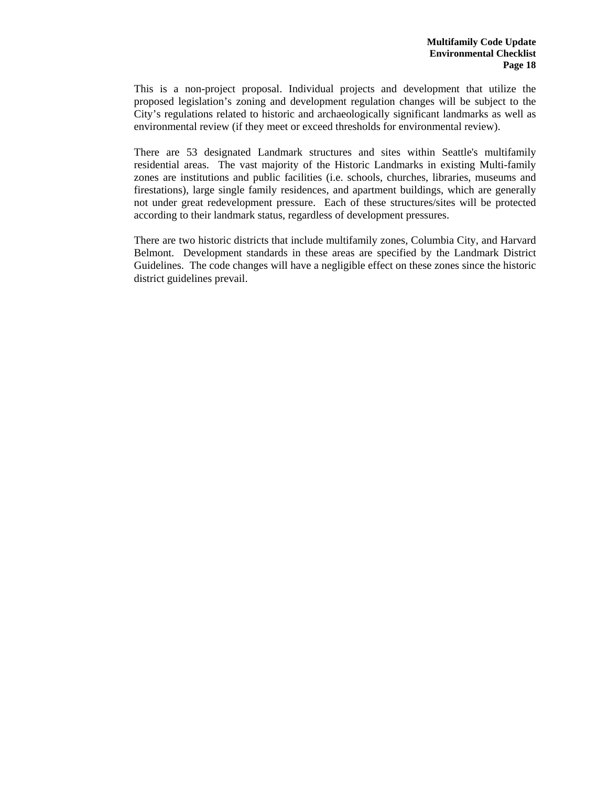This is a non-project proposal. Individual projects and development that utilize the proposed legislation's zoning and development regulation changes will be subject to the City's regulations related to historic and archaeologically significant landmarks as well as environmental review (if they meet or exceed thresholds for environmental review).

There are 53 designated Landmark structures and sites within Seattle's multifamily residential areas. The vast majority of the Historic Landmarks in existing Multi-family zones are institutions and public facilities (i.e. schools, churches, libraries, museums and firestations), large single family residences, and apartment buildings, which are generally not under great redevelopment pressure. Each of these structures/sites will be protected according to their landmark status, regardless of development pressures.

There are two historic districts that include multifamily zones, Columbia City, and Harvard Belmont. Development standards in these areas are specified by the Landmark District Guidelines. The code changes will have a negligible effect on these zones since the historic district guidelines prevail.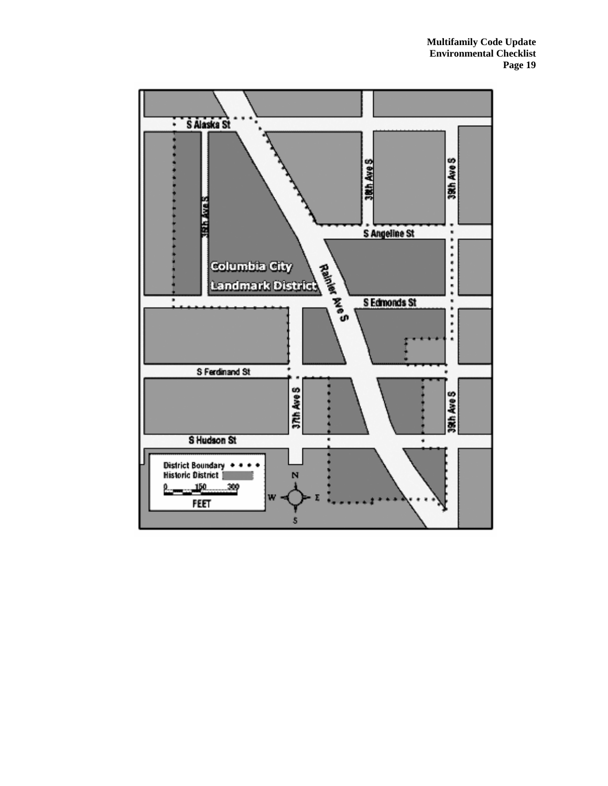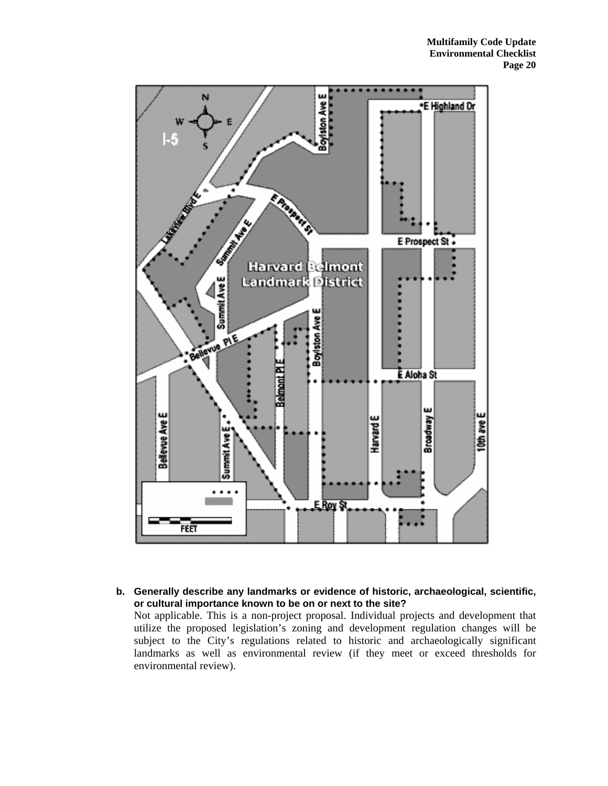

**b. Generally describe any landmarks or evidence of historic, archaeological, scientific, or cultural importance known to be on or next to the site?** 

Not applicable. This is a non-project proposal. Individual projects and development that utilize the proposed legislation's zoning and development regulation changes will be subject to the City's regulations related to historic and archaeologically significant landmarks as well as environmental review (if they meet or exceed thresholds for environmental review).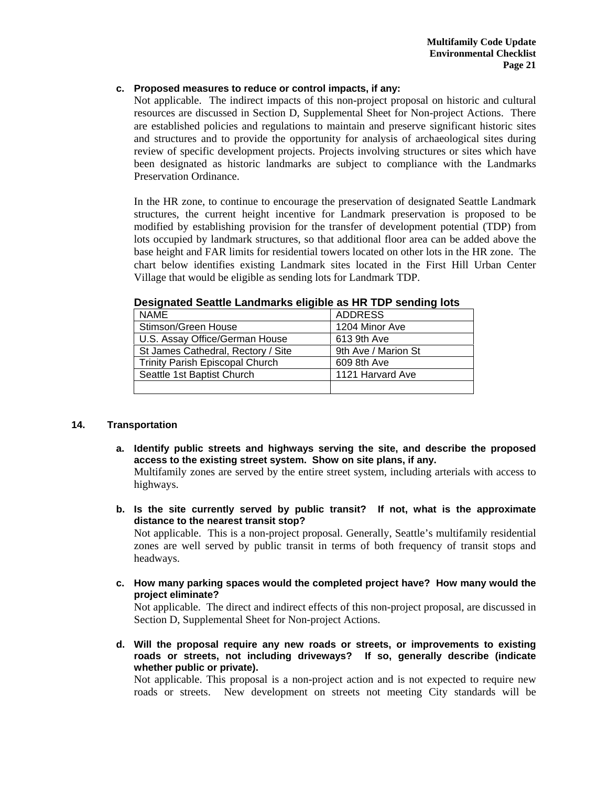# **c. Proposed measures to reduce or control impacts, if any:**

Not applicable. The indirect impacts of this non-project proposal on historic and cultural resources are discussed in Section D, Supplemental Sheet for Non-project Actions. There are established policies and regulations to maintain and preserve significant historic sites and structures and to provide the opportunity for analysis of archaeological sites during review of specific development projects. Projects involving structures or sites which have been designated as historic landmarks are subject to compliance with the Landmarks Preservation Ordinance.

In the HR zone, to continue to encourage the preservation of designated Seattle Landmark structures, the current height incentive for Landmark preservation is proposed to be modified by establishing provision for the transfer of development potential (TDP) from lots occupied by landmark structures, so that additional floor area can be added above the base height and FAR limits for residential towers located on other lots in the HR zone. The chart below identifies existing Landmark sites located in the First Hill Urban Center Village that would be eligible as sending lots for Landmark TDP.

| NAME                                   | <b>ADDRESS</b>      |
|----------------------------------------|---------------------|
| Stimson/Green House                    | 1204 Minor Ave      |
| U.S. Assay Office/German House         | 613 9th Ave         |
| St James Cathedral, Rectory / Site     | 9th Ave / Marion St |
| <b>Trinity Parish Episcopal Church</b> | 609 8th Ave         |
| Seattle 1st Baptist Church             | 1121 Harvard Ave    |
|                                        |                     |

### **Designated Seattle Landmarks eligible as HR TDP sending lots**

# **14. Transportation**

**a. Identify public streets and highways serving the site, and describe the proposed access to the existing street system. Show on site plans, if any.** 

Multifamily zones are served by the entire street system, including arterials with access to highways.

**b. Is the site currently served by public transit? If not, what is the approximate distance to the nearest transit stop?** 

Not applicable. This is a non-project proposal. Generally, Seattle's multifamily residential zones are well served by public transit in terms of both frequency of transit stops and headways.

**c. How many parking spaces would the completed project have? How many would the project eliminate?** 

Not applicable. The direct and indirect effects of this non-project proposal, are discussed in Section D, Supplemental Sheet for Non-project Actions.

**d. Will the proposal require any new roads or streets, or improvements to existing roads or streets, not including driveways? If so, generally describe (indicate whether public or private).** 

Not applicable. This proposal is a non-project action and is not expected to require new roads or streets. New development on streets not meeting City standards will be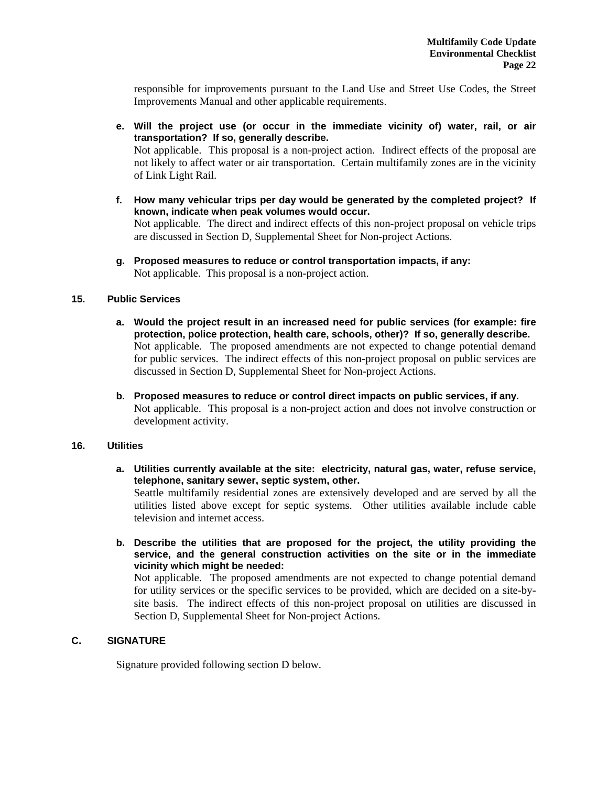responsible for improvements pursuant to the Land Use and Street Use Codes, the Street Improvements Manual and other applicable requirements.

- **e. Will the project use (or occur in the immediate vicinity of) water, rail, or air transportation? If so, generally describe.**  Not applicable. This proposal is a non-project action. Indirect effects of the proposal are not likely to affect water or air transportation. Certain multifamily zones are in the vicinity of Link Light Rail.
- **f. How many vehicular trips per day would be generated by the completed project? If known, indicate when peak volumes would occur.**  Not applicable. The direct and indirect effects of this non-project proposal on vehicle trips are discussed in Section D, Supplemental Sheet for Non-project Actions.
- **g. Proposed measures to reduce or control transportation impacts, if any:**  Not applicable. This proposal is a non-project action.

## **15. Public Services**

- **a. Would the project result in an increased need for public services (for example: fire protection, police protection, health care, schools, other)? If so, generally describe.**  Not applicable. The proposed amendments are not expected to change potential demand for public services. The indirect effects of this non-project proposal on public services are discussed in Section D, Supplemental Sheet for Non-project Actions.
- **b. Proposed measures to reduce or control direct impacts on public services, if any.**  Not applicable. This proposal is a non-project action and does not involve construction or development activity.

#### **16. Utilities**

**a. Utilities currently available at the site: electricity, natural gas, water, refuse service, telephone, sanitary sewer, septic system, other.** 

Seattle multifamily residential zones are extensively developed and are served by all the utilities listed above except for septic systems. Other utilities available include cable television and internet access.

**b. Describe the utilities that are proposed for the project, the utility providing the service, and the general construction activities on the site or in the immediate vicinity which might be needed:** 

Not applicable. The proposed amendments are not expected to change potential demand for utility services or the specific services to be provided, which are decided on a site-bysite basis. The indirect effects of this non-project proposal on utilities are discussed in Section D, Supplemental Sheet for Non-project Actions.

# **C. SIGNATURE**

Signature provided following section D below.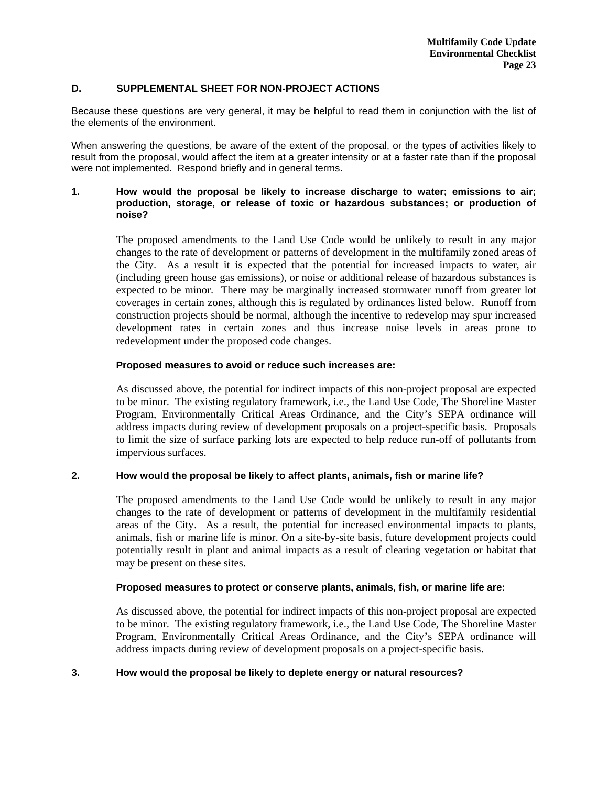## **D. SUPPLEMENTAL SHEET FOR NON-PROJECT ACTIONS**

Because these questions are very general, it may be helpful to read them in conjunction with the list of the elements of the environment.

When answering the questions, be aware of the extent of the proposal, or the types of activities likely to result from the proposal, would affect the item at a greater intensity or at a faster rate than if the proposal were not implemented. Respond briefly and in general terms.

# **1. How would the proposal be likely to increase discharge to water; emissions to air; production, storage, or release of toxic or hazardous substances; or production of noise?**

The proposed amendments to the Land Use Code would be unlikely to result in any major changes to the rate of development or patterns of development in the multifamily zoned areas of the City. As a result it is expected that the potential for increased impacts to water, air (including green house gas emissions), or noise or additional release of hazardous substances is expected to be minor. There may be marginally increased stormwater runoff from greater lot coverages in certain zones, although this is regulated by ordinances listed below. Runoff from construction projects should be normal, although the incentive to redevelop may spur increased development rates in certain zones and thus increase noise levels in areas prone to redevelopment under the proposed code changes.

# **Proposed measures to avoid or reduce such increases are:**

As discussed above, the potential for indirect impacts of this non-project proposal are expected to be minor. The existing regulatory framework, i.e., the Land Use Code, The Shoreline Master Program, Environmentally Critical Areas Ordinance, and the City's SEPA ordinance will address impacts during review of development proposals on a project-specific basis. Proposals to limit the size of surface parking lots are expected to help reduce run-off of pollutants from impervious surfaces.

# **2. How would the proposal be likely to affect plants, animals, fish or marine life?**

The proposed amendments to the Land Use Code would be unlikely to result in any major changes to the rate of development or patterns of development in the multifamily residential areas of the City. As a result, the potential for increased environmental impacts to plants, animals, fish or marine life is minor. On a site-by-site basis, future development projects could potentially result in plant and animal impacts as a result of clearing vegetation or habitat that may be present on these sites.

#### **Proposed measures to protect or conserve plants, animals, fish, or marine life are:**

As discussed above, the potential for indirect impacts of this non-project proposal are expected to be minor. The existing regulatory framework, i.e., the Land Use Code, The Shoreline Master Program, Environmentally Critical Areas Ordinance, and the City's SEPA ordinance will address impacts during review of development proposals on a project-specific basis.

## **3. How would the proposal be likely to deplete energy or natural resources?**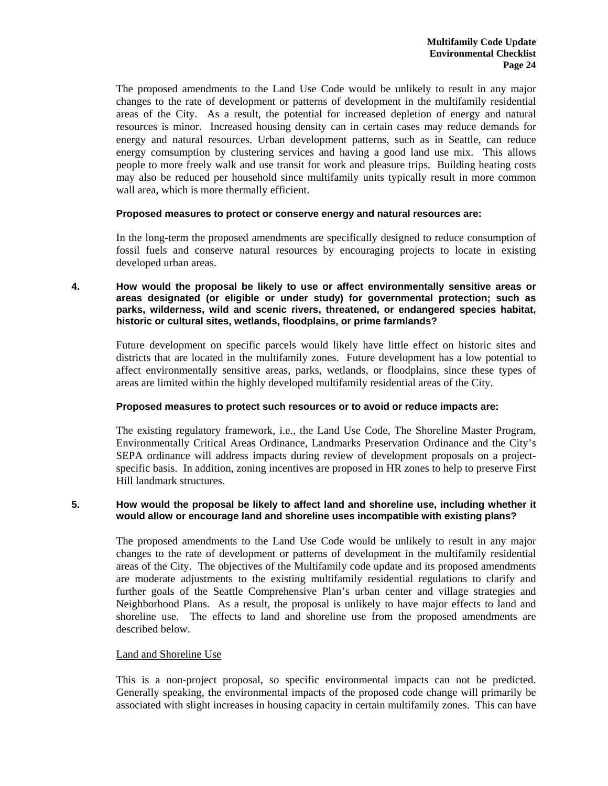The proposed amendments to the Land Use Code would be unlikely to result in any major changes to the rate of development or patterns of development in the multifamily residential areas of the City. As a result, the potential for increased depletion of energy and natural resources is minor. Increased housing density can in certain cases may reduce demands for energy and natural resources. Urban development patterns, such as in Seattle, can reduce energy comsumption by clustering services and having a good land use mix. This allows people to more freely walk and use transit for work and pleasure trips. Building heating costs may also be reduced per household since multifamily units typically result in more common wall area, which is more thermally efficient.

## **Proposed measures to protect or conserve energy and natural resources are:**

In the long-term the proposed amendments are specifically designed to reduce consumption of fossil fuels and conserve natural resources by encouraging projects to locate in existing developed urban areas.

**4. How would the proposal be likely to use or affect environmentally sensitive areas or areas designated (or eligible or under study) for governmental protection; such as parks, wilderness, wild and scenic rivers, threatened, or endangered species habitat, historic or cultural sites, wetlands, floodplains, or prime farmlands?** 

Future development on specific parcels would likely have little effect on historic sites and districts that are located in the multifamily zones. Future development has a low potential to affect environmentally sensitive areas, parks, wetlands, or floodplains, since these types of areas are limited within the highly developed multifamily residential areas of the City.

# **Proposed measures to protect such resources or to avoid or reduce impacts are:**

The existing regulatory framework, i.e., the Land Use Code, The Shoreline Master Program, Environmentally Critical Areas Ordinance, Landmarks Preservation Ordinance and the City's SEPA ordinance will address impacts during review of development proposals on a projectspecific basis. In addition, zoning incentives are proposed in HR zones to help to preserve First Hill landmark structures.

# **5. How would the proposal be likely to affect land and shoreline use, including whether it would allow or encourage land and shoreline uses incompatible with existing plans?**

The proposed amendments to the Land Use Code would be unlikely to result in any major changes to the rate of development or patterns of development in the multifamily residential areas of the City. The objectives of the Multifamily code update and its proposed amendments are moderate adjustments to the existing multifamily residential regulations to clarify and further goals of the Seattle Comprehensive Plan's urban center and village strategies and Neighborhood Plans. As a result, the proposal is unlikely to have major effects to land and shoreline use. The effects to land and shoreline use from the proposed amendments are described below.

# Land and Shoreline Use

This is a non-project proposal, so specific environmental impacts can not be predicted. Generally speaking, the environmental impacts of the proposed code change will primarily be associated with slight increases in housing capacity in certain multifamily zones. This can have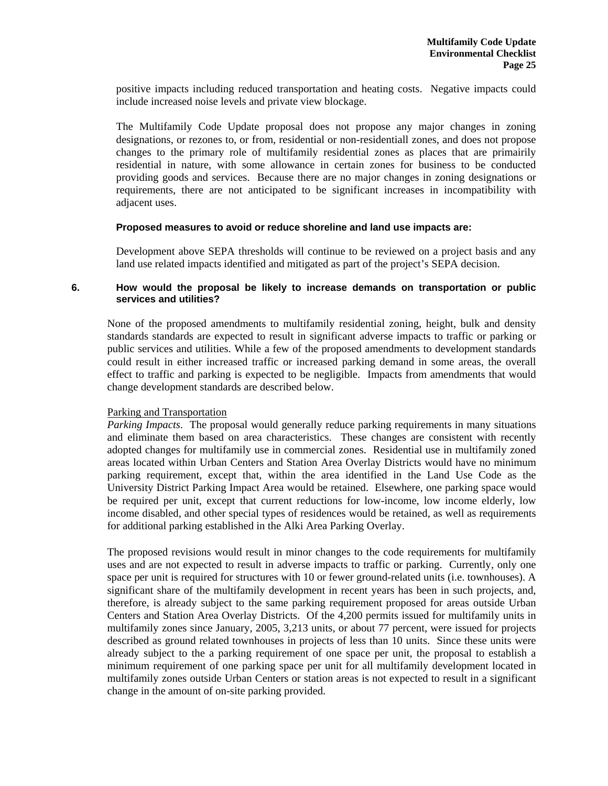positive impacts including reduced transportation and heating costs. Negative impacts could include increased noise levels and private view blockage.

The Multifamily Code Update proposal does not propose any major changes in zoning designations, or rezones to, or from, residential or non-residentiall zones, and does not propose changes to the primary role of multifamily residential zones as places that are primairily residential in nature, with some allowance in certain zones for business to be conducted providing goods and services. Because there are no major changes in zoning designations or requirements, there are not anticipated to be significant increases in incompatibility with adjacent uses.

#### **Proposed measures to avoid or reduce shoreline and land use impacts are:**

Development above SEPA thresholds will continue to be reviewed on a project basis and any land use related impacts identified and mitigated as part of the project's SEPA decision.

## **6. How would the proposal be likely to increase demands on transportation or public services and utilities?**

None of the proposed amendments to multifamily residential zoning, height, bulk and density standards standards are expected to result in significant adverse impacts to traffic or parking or public services and utilities. While a few of the proposed amendments to development standards could result in either increased traffic or increased parking demand in some areas, the overall effect to traffic and parking is expected to be negligible. Impacts from amendments that would change development standards are described below.

# Parking and Transportation

*Parking Impacts*. The proposal would generally reduce parking requirements in many situations and eliminate them based on area characteristics. These changes are consistent with recently adopted changes for multifamily use in commercial zones. Residential use in multifamily zoned areas located within Urban Centers and Station Area Overlay Districts would have no minimum parking requirement, except that, within the area identified in the Land Use Code as the University District Parking Impact Area would be retained. Elsewhere, one parking space would be required per unit, except that current reductions for low-income, low income elderly, low income disabled, and other special types of residences would be retained, as well as requirements for additional parking established in the Alki Area Parking Overlay.

The proposed revisions would result in minor changes to the code requirements for multifamily uses and are not expected to result in adverse impacts to traffic or parking. Currently, only one space per unit is required for structures with 10 or fewer ground-related units (i.e. townhouses). A significant share of the multifamily development in recent years has been in such projects, and, therefore, is already subject to the same parking requirement proposed for areas outside Urban Centers and Station Area Overlay Districts. Of the 4,200 permits issued for multifamily units in multifamily zones since January, 2005, 3,213 units, or about 77 percent, were issued for projects described as ground related townhouses in projects of less than 10 units. Since these units were already subject to the a parking requirement of one space per unit, the proposal to establish a minimum requirement of one parking space per unit for all multifamily development located in multifamily zones outside Urban Centers or station areas is not expected to result in a significant change in the amount of on-site parking provided.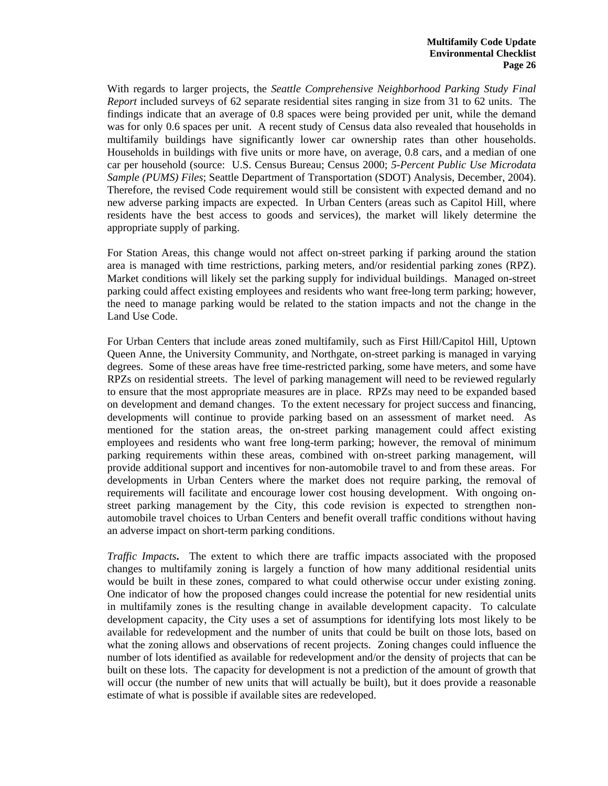With regards to larger projects, the *Seattle Comprehensive Neighborhood Parking Study Final Report* included surveys of 62 separate residential sites ranging in size from 31 to 62 units. The findings indicate that an average of 0.8 spaces were being provided per unit, while the demand was for only 0.6 spaces per unit. A recent study of Census data also revealed that households in multifamily buildings have significantly lower car ownership rates than other households. Households in buildings with five units or more have, on average, 0.8 cars, and a median of one car per household (source: U.S. Census Bureau; Census 2000; *5-Percent Public Use Microdata Sample (PUMS) Files*; Seattle Department of Transportation (SDOT) Analysis, December, 2004). Therefore, the revised Code requirement would still be consistent with expected demand and no new adverse parking impacts are expected. In Urban Centers (areas such as Capitol Hill, where residents have the best access to goods and services), the market will likely determine the appropriate supply of parking.

For Station Areas, this change would not affect on-street parking if parking around the station area is managed with time restrictions, parking meters, and/or residential parking zones (RPZ). Market conditions will likely set the parking supply for individual buildings. Managed on-street parking could affect existing employees and residents who want free-long term parking; however, the need to manage parking would be related to the station impacts and not the change in the Land Use Code.

For Urban Centers that include areas zoned multifamily, such as First Hill/Capitol Hill, Uptown Queen Anne, the University Community, and Northgate, on-street parking is managed in varying degrees. Some of these areas have free time-restricted parking, some have meters, and some have RPZs on residential streets. The level of parking management will need to be reviewed regularly to ensure that the most appropriate measures are in place. RPZs may need to be expanded based on development and demand changes. To the extent necessary for project success and financing, developments will continue to provide parking based on an assessment of market need. As mentioned for the station areas, the on-street parking management could affect existing employees and residents who want free long-term parking; however, the removal of minimum parking requirements within these areas, combined with on-street parking management, will provide additional support and incentives for non-automobile travel to and from these areas. For developments in Urban Centers where the market does not require parking, the removal of requirements will facilitate and encourage lower cost housing development. With ongoing onstreet parking management by the City, this code revision is expected to strengthen nonautomobile travel choices to Urban Centers and benefit overall traffic conditions without having an adverse impact on short-term parking conditions.

*Traffic Impacts***.** The extent to which there are traffic impacts associated with the proposed changes to multifamily zoning is largely a function of how many additional residential units would be built in these zones, compared to what could otherwise occur under existing zoning. One indicator of how the proposed changes could increase the potential for new residential units in multifamily zones is the resulting change in available development capacity. To calculate development capacity, the City uses a set of assumptions for identifying lots most likely to be available for redevelopment and the number of units that could be built on those lots, based on what the zoning allows and observations of recent projects. Zoning changes could influence the number of lots identified as available for redevelopment and/or the density of projects that can be built on these lots. The capacity for development is not a prediction of the amount of growth that will occur (the number of new units that will actually be built), but it does provide a reasonable estimate of what is possible if available sites are redeveloped.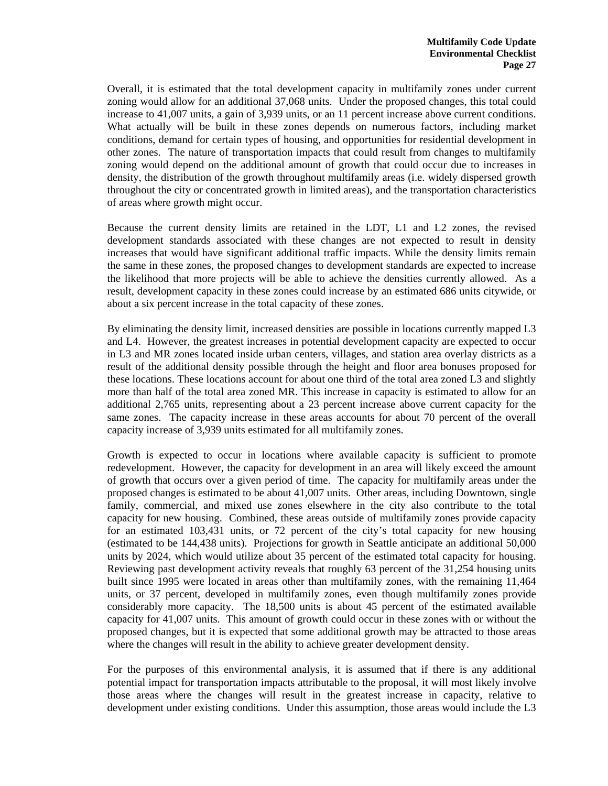Overall, it is estimated that the total development capacity in multifamily zones under current zoning would allow for an additional 37,068 units. Under the proposed changes, this total could increase to 41,007 units, a gain of 3,939 units, or an 11 percent increase above current conditions. What actually will be built in these zones depends on numerous factors, including market conditions, demand for certain types of housing, and opportunities for residential development in other zones. The nature of transportation impacts that could result from changes to multifamily zoning would depend on the additional amount of growth that could occur due to increases in density, the distribution of the growth throughout multifamily areas (i.e. widely dispersed growth throughout the city or concentrated growth in limited areas), and the transportation characteristics of areas where growth might occur.

Because the current density limits are retained in the LDT, L1 and L2 zones, the revised development standards associated with these changes are not expected to result in density increases that would have significant additional traffic impacts. While the density limits remain the same in these zones, the proposed changes to development standards are expected to increase the likelihood that more projects will be able to achieve the densities currently allowed. As a result, development capacity in these zones could increase by an estimated 686 units citywide, or about a six percent increase in the total capacity of these zones.

By eliminating the density limit, increased densities are possible in locations currently mapped L3 and L4. However, the greatest increases in potential development capacity are expected to occur in L3 and MR zones located inside urban centers, villages, and station area overlay districts as a result of the additional density possible through the height and floor area bonuses proposed for these locations. These locations account for about one third of the total area zoned L3 and slightly more than half of the total area zoned MR. This increase in capacity is estimated to allow for an additional 2,765 units, representing about a 23 percent increase above current capacity for the same zones. The capacity increase in these areas accounts for about 70 percent of the overall capacity increase of 3,939 units estimated for all multifamily zones.

Growth is expected to occur in locations where available capacity is sufficient to promote redevelopment. However, the capacity for development in an area will likely exceed the amount of growth that occurs over a given period of time. The capacity for multifamily areas under the proposed changes is estimated to be about 41,007 units. Other areas, including Downtown, single family, commercial, and mixed use zones elsewhere in the city also contribute to the total capacity for new housing. Combined, these areas outside of multifamily zones provide capacity for an estimated 103,431 units, or 72 percent of the city's total capacity for new housing (estimated to be 144,438 units). Projections for growth in Seattle anticipate an additional 50,000 units by 2024, which would utilize about 35 percent of the estimated total capacity for housing. Reviewing past development activity reveals that roughly 63 percent of the 31,254 housing units built since 1995 were located in areas other than multifamily zones, with the remaining 11,464 units, or 37 percent, developed in multifamily zones, even though multifamily zones provide considerably more capacity. The 18,500 units is about 45 percent of the estimated available capacity for 41,007 units. This amount of growth could occur in these zones with or without the proposed changes, but it is expected that some additional growth may be attracted to those areas where the changes will result in the ability to achieve greater development density.

For the purposes of this environmental analysis, it is assumed that if there is any additional potential impact for transportation impacts attributable to the proposal, it will most likely involve those areas where the changes will result in the greatest increase in capacity, relative to development under existing conditions. Under this assumption, those areas would include the L3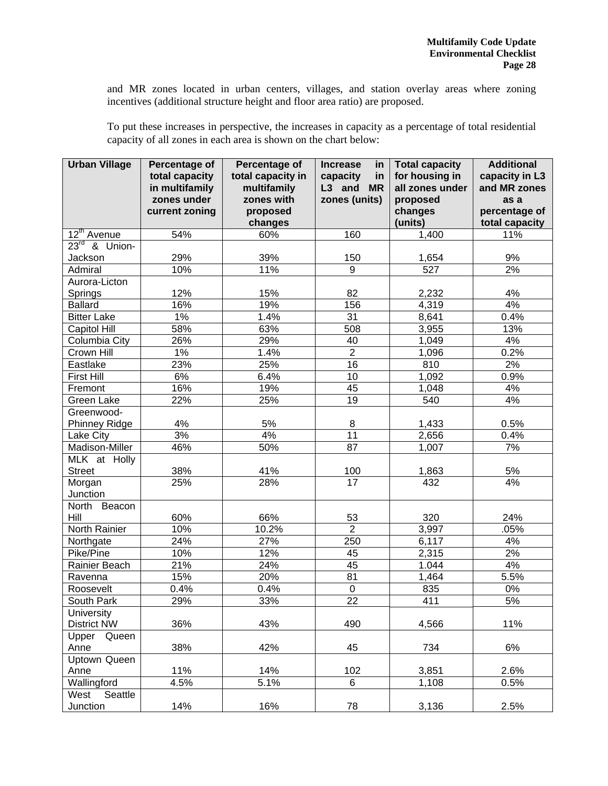and MR zones located in urban centers, villages, and station overlay areas where zoning incentives (additional structure height and floor area ratio) are proposed.

To put these increases in perspective, the increases in capacity as a percentage of total residential capacity of all zones in each area is shown on the chart below:

| <b>Urban Village</b>    | Percentage of<br>total capacity<br>in multifamily<br>zones under<br>current zoning | Percentage of<br>total capacity in<br>multifamily<br>zones with<br>proposed<br>changes | in<br><b>Increase</b><br>capacity<br>in<br>L3 and MR<br>zones (units) | <b>Total capacity</b><br>for housing in<br>all zones under<br>proposed<br>changes<br>(units) | <b>Additional</b><br>capacity in L3<br>and MR zones<br>as a<br>percentage of<br>total capacity |
|-------------------------|------------------------------------------------------------------------------------|----------------------------------------------------------------------------------------|-----------------------------------------------------------------------|----------------------------------------------------------------------------------------------|------------------------------------------------------------------------------------------------|
| 12 <sup>th</sup> Avenue | 54%                                                                                | 60%                                                                                    | 160                                                                   | 1,400                                                                                        | 11%                                                                                            |
| $23^{rd}$ & Union-      |                                                                                    |                                                                                        |                                                                       |                                                                                              |                                                                                                |
| Jackson                 | 29%                                                                                | 39%                                                                                    | 150                                                                   | 1,654                                                                                        | 9%                                                                                             |
| Admiral                 | 10%                                                                                | 11%                                                                                    | $\overline{9}$                                                        | 527                                                                                          | 2%                                                                                             |
| Aurora-Licton           |                                                                                    |                                                                                        |                                                                       |                                                                                              |                                                                                                |
| Springs                 | 12%                                                                                | 15%                                                                                    | 82                                                                    | 2,232                                                                                        | 4%                                                                                             |
| <b>Ballard</b>          | 16%                                                                                | 19%                                                                                    | 156                                                                   | 4,319                                                                                        | 4%                                                                                             |
| <b>Bitter Lake</b>      | $1\%$                                                                              | 1.4%                                                                                   | $\overline{31}$                                                       | 8,641                                                                                        | 0.4%                                                                                           |
| Capitol Hill            | 58%                                                                                | 63%                                                                                    | $\overline{508}$                                                      | 3,955                                                                                        | 13%                                                                                            |
| Columbia City           | 26%                                                                                | 29%                                                                                    | 40                                                                    | 1,049                                                                                        | 4%                                                                                             |
| Crown Hill              | $1\%$                                                                              | 1.4%                                                                                   | $\overline{2}$                                                        | 1,096                                                                                        | 0.2%                                                                                           |
| Eastlake                | 23%                                                                                | 25%                                                                                    | $\overline{16}$                                                       | 810                                                                                          | 2%                                                                                             |
| <b>First Hill</b>       | 6%                                                                                 | 6.4%                                                                                   | 10                                                                    | 1,092                                                                                        | 0.9%                                                                                           |
| Fremont                 | 16%                                                                                | 19%                                                                                    | 45                                                                    | 1,048                                                                                        | 4%                                                                                             |
| Green Lake              | 22%                                                                                | 25%                                                                                    | $\overline{19}$                                                       | 540                                                                                          | 4%                                                                                             |
| Greenwood-              |                                                                                    |                                                                                        |                                                                       |                                                                                              |                                                                                                |
| Phinney Ridge           | 4%                                                                                 | 5%                                                                                     | 8                                                                     | 1,433                                                                                        | 0.5%                                                                                           |
| Lake City               | 3%                                                                                 | 4%                                                                                     | 11                                                                    | 2,656                                                                                        | $0.4\%$                                                                                        |
| Madison-Miller          | 46%                                                                                | 50%                                                                                    | 87                                                                    | 1,007                                                                                        | 7%                                                                                             |
| MLK at Holly            |                                                                                    |                                                                                        |                                                                       |                                                                                              |                                                                                                |
| <b>Street</b>           | 38%                                                                                | 41%                                                                                    | 100                                                                   | 1,863                                                                                        | 5%                                                                                             |
| Morgan<br>Junction      | 25%                                                                                | 28%                                                                                    | 17                                                                    | 432                                                                                          | 4%                                                                                             |
| North Beacon            |                                                                                    |                                                                                        |                                                                       |                                                                                              |                                                                                                |
| Hill                    | 60%                                                                                | 66%                                                                                    | 53                                                                    | 320                                                                                          | 24%                                                                                            |
| North Rainier           | 10%                                                                                | 10.2%                                                                                  | $\overline{2}$                                                        | 3,997                                                                                        | .05%                                                                                           |
| Northgate               | 24%                                                                                | 27%                                                                                    | 250                                                                   | 6,117                                                                                        | 4%                                                                                             |
| Pike/Pine               | 10%                                                                                | 12%                                                                                    | 45                                                                    | 2,315                                                                                        | 2%                                                                                             |
| Rainier Beach           | 21%                                                                                | 24%                                                                                    | 45                                                                    | 1.044                                                                                        | 4%                                                                                             |
| Ravenna                 | 15%                                                                                | 20%                                                                                    | 81                                                                    | 1,464                                                                                        | 5.5%                                                                                           |
| Roosevelt               | 0.4%                                                                               | 0.4%                                                                                   | $\boldsymbol{0}$                                                      | 835                                                                                          | 0%                                                                                             |
| South Park              | 29%                                                                                | 33%                                                                                    | $\overline{22}$                                                       | 411                                                                                          | 5%                                                                                             |
| <b>University</b>       |                                                                                    |                                                                                        |                                                                       |                                                                                              |                                                                                                |
| <b>District NW</b>      | 36%                                                                                | 43%                                                                                    | 490                                                                   | 4,566                                                                                        | 11%                                                                                            |
| Upper Queen             |                                                                                    |                                                                                        |                                                                       |                                                                                              |                                                                                                |
| Anne                    | 38%                                                                                | 42%                                                                                    | 45                                                                    | 734                                                                                          | 6%                                                                                             |
| <b>Uptown Queen</b>     |                                                                                    |                                                                                        |                                                                       |                                                                                              |                                                                                                |
| Anne                    | 11%                                                                                | 14%                                                                                    | 102                                                                   | 3,851                                                                                        | 2.6%                                                                                           |
| Wallingford             | 4.5%                                                                               | 5.1%                                                                                   | 6                                                                     | $\overline{1,}108$                                                                           | 0.5%                                                                                           |
| Seattle<br>West         |                                                                                    |                                                                                        |                                                                       |                                                                                              |                                                                                                |
| Junction                | 14%                                                                                | 16%                                                                                    | 78                                                                    | 3,136                                                                                        | 2.5%                                                                                           |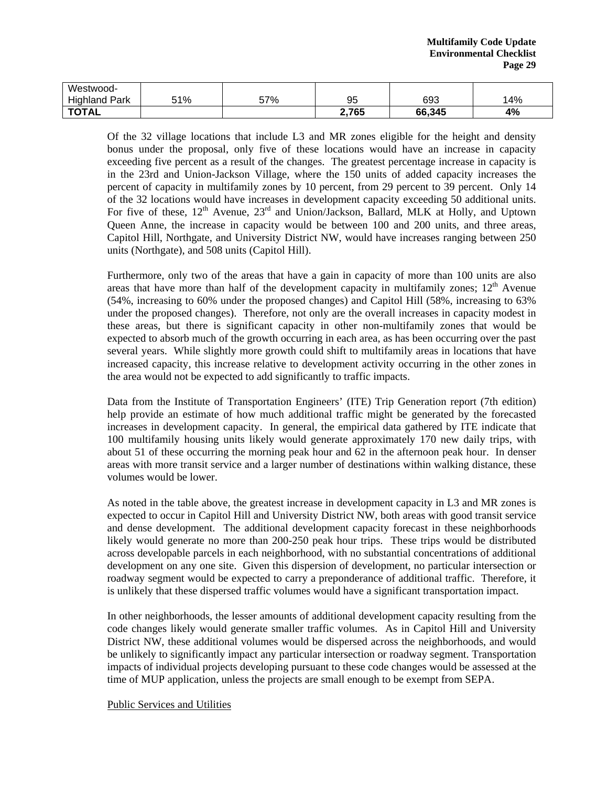| Westwood-<br>.  .<br>Park<br>Highland | 51% | 57% | 95    | 693    | 14% |
|---------------------------------------|-----|-----|-------|--------|-----|
| <b>TOTAL</b>                          |     |     | 2,765 | 66,345 | 4%  |

Of the 32 village locations that include L3 and MR zones eligible for the height and density bonus under the proposal, only five of these locations would have an increase in capacity exceeding five percent as a result of the changes. The greatest percentage increase in capacity is in the 23rd and Union-Jackson Village, where the 150 units of added capacity increases the percent of capacity in multifamily zones by 10 percent, from 29 percent to 39 percent. Only 14 of the 32 locations would have increases in development capacity exceeding 50 additional units. For five of these,  $12<sup>th</sup>$  Avenue,  $23<sup>rd</sup>$  and Union/Jackson, Ballard, MLK at Holly, and Uptown Queen Anne, the increase in capacity would be between 100 and 200 units, and three areas, Capitol Hill, Northgate, and University District NW, would have increases ranging between 250 units (Northgate), and 508 units (Capitol Hill).

Furthermore, only two of the areas that have a gain in capacity of more than 100 units are also areas that have more than half of the development capacity in multifamily zones;  $12<sup>th</sup>$  Avenue (54%, increasing to 60% under the proposed changes) and Capitol Hill (58%, increasing to 63% under the proposed changes). Therefore, not only are the overall increases in capacity modest in these areas, but there is significant capacity in other non-multifamily zones that would be expected to absorb much of the growth occurring in each area, as has been occurring over the past several years. While slightly more growth could shift to multifamily areas in locations that have increased capacity, this increase relative to development activity occurring in the other zones in the area would not be expected to add significantly to traffic impacts.

Data from the Institute of Transportation Engineers' (ITE) Trip Generation report (7th edition) help provide an estimate of how much additional traffic might be generated by the forecasted increases in development capacity. In general, the empirical data gathered by ITE indicate that 100 multifamily housing units likely would generate approximately 170 new daily trips, with about 51 of these occurring the morning peak hour and 62 in the afternoon peak hour. In denser areas with more transit service and a larger number of destinations within walking distance, these volumes would be lower.

As noted in the table above, the greatest increase in development capacity in L3 and MR zones is expected to occur in Capitol Hill and University District NW, both areas with good transit service and dense development. The additional development capacity forecast in these neighborhoods likely would generate no more than 200-250 peak hour trips. These trips would be distributed across developable parcels in each neighborhood, with no substantial concentrations of additional development on any one site. Given this dispersion of development, no particular intersection or roadway segment would be expected to carry a preponderance of additional traffic. Therefore, it is unlikely that these dispersed traffic volumes would have a significant transportation impact.

In other neighborhoods, the lesser amounts of additional development capacity resulting from the code changes likely would generate smaller traffic volumes. As in Capitol Hill and University District NW, these additional volumes would be dispersed across the neighborhoods, and would be unlikely to significantly impact any particular intersection or roadway segment. Transportation impacts of individual projects developing pursuant to these code changes would be assessed at the time of MUP application, unless the projects are small enough to be exempt from SEPA.

#### Public Services and Utilities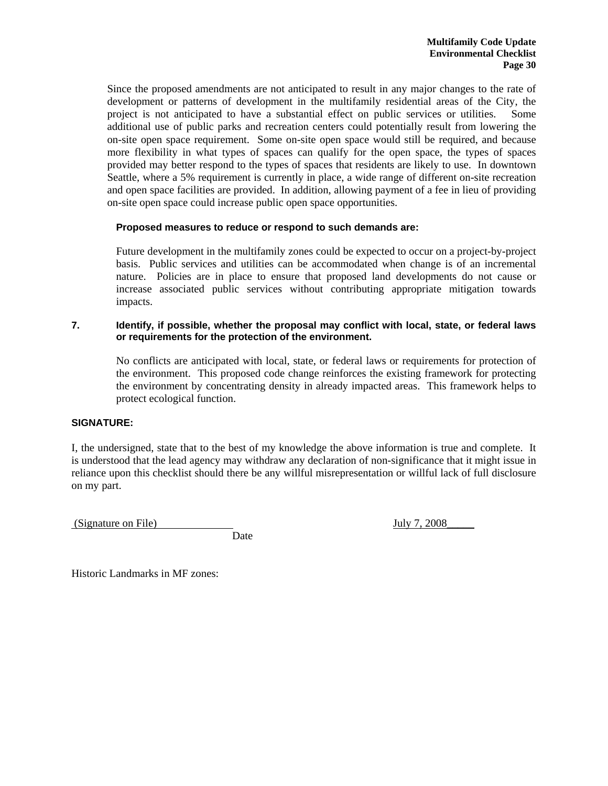Since the proposed amendments are not anticipated to result in any major changes to the rate of development or patterns of development in the multifamily residential areas of the City, the project is not anticipated to have a substantial effect on public services or utilities. Some additional use of public parks and recreation centers could potentially result from lowering the on-site open space requirement. Some on-site open space would still be required, and because more flexibility in what types of spaces can qualify for the open space, the types of spaces provided may better respond to the types of spaces that residents are likely to use. In downtown Seattle, where a 5% requirement is currently in place, a wide range of different on-site recreation and open space facilities are provided. In addition, allowing payment of a fee in lieu of providing on-site open space could increase public open space opportunities.

# **Proposed measures to reduce or respond to such demands are:**

Future development in the multifamily zones could be expected to occur on a project-by-project basis. Public services and utilities can be accommodated when change is of an incremental nature. Policies are in place to ensure that proposed land developments do not cause or increase associated public services without contributing appropriate mitigation towards impacts.

## **7. Identify, if possible, whether the proposal may conflict with local, state, or federal laws or requirements for the protection of the environment.**

No conflicts are anticipated with local, state, or federal laws or requirements for protection of the environment. This proposed code change reinforces the existing framework for protecting the environment by concentrating density in already impacted areas. This framework helps to protect ecological function.

# **SIGNATURE:**

I, the undersigned, state that to the best of my knowledge the above information is true and complete. It is understood that the lead agency may withdraw any declaration of non-significance that it might issue in reliance upon this checklist should there be any willful misrepresentation or willful lack of full disclosure on my part.

(Signature on File) July 7, 2008

Date

Historic Landmarks in MF zones: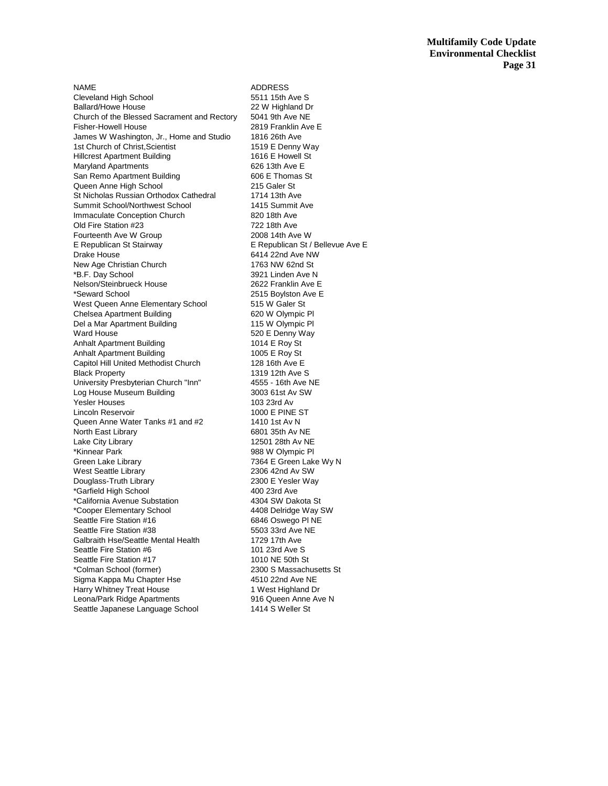NAME ADDRESS Cleveland High School 5511 15th Ave S Ballard/Howe House 22 W Highland Dr<br>Church of the Blessed Sacrament and Rectory 5041 9th Ave NE Church of the Blessed Sacrament and Rectory 5041 9th Ave NE<br>Fisher-Howell House 601 2819 Franklin Ave E Fisher-Howell House James W Washington, Jr., Home and Studio 1816 26th Ave 1st Church of Christ, Scientist 1519 E Denny Way Hillcrest Apartment Building 1616 E Howell St Maryland Apartments<br>
San Remo Apartment Building<br>
606 E Thomas St San Remo Apartment Building Queen Anne High School 215 Galer St St Nicholas Russian Orthodox Cathedral 1714 13th Ave Summit School/Northwest School<br>
Immaculate Conception Church<br>
820 18th Ave Immaculate Conception Church Old Fire Station #23 722 18th Ave Fourteenth Ave W Group 2008 14th Ave W E Republican St Stairway **E** Republican St / Bellevue Ave E Drake House **6414 22nd Ave NW** New Age Christian Church 1763 NW 62nd St \*B.F. Day School 3921 Linden Ave N Nelson/Steinbrueck House 2622 Franklin Ave E \*Seward School 2515 Boylston Ave E West Queen Anne Elementary School 515 W Galer St Chelsea Apartment Building 620 W Olympic Pl Del a Mar Apartment Building 115 W Olympic Pl Ward House **620 E Denny Way** Anhalt Apartment Building 1014 E Roy St Anhalt Apartment Building 1005 E Roy St Capitol Hill United Methodist Church 128 16th Ave E<br>Black Property 1319 12th Ave 9 University Presbyterian Church "Inn" 4555 - 16th Ave NE Log House Museum Building 3003 61st Av SW Yesler Houses 103 23rd Av Lincoln Reservoir 1000 E PINE ST Queen Anne Water Tanks #1 and #2 1410 1st Av N North East Library **6801 35th Av NE**<br>
Lake City Library **6801 28th Av NE** Lake City Library \*Kinnear Park 988 W Olympic Pl Green Lake Library **1988** Creen Lake Wy N West Seattle Library 2306 42nd Av SW Douglass-Truth Library 2300 E Yesler Way<br>
\*Garfield High School 2500 23rd Ave \*Garfield High School \*California Avenue Substation 4304 SW Dakota St \*Cooper Elementary School 4408 Delridge Way SW Seattle Fire Station #16 6846 Oswego PINE<br>
Seattle Fire Station #38 6503 33rd Ave NE Seattle Fire Station #38 Galbraith Hse/Seattle Mental Health 1729 17th Ave Seattle Fire Station #6 101 23rd Ave S Seattle Fire Station #17 1010 NE 50th St \*Colman School (former) 2300 S Massachusetts St Sigma Kappa Mu Chapter Hse Harry Whitney Treat House 1 West Highland Dr Leona/Park Ridge Apartments 916 Queen Anne Ave N Seattle Japanese Language School 1414 S Weller St

1319 12th Ave S